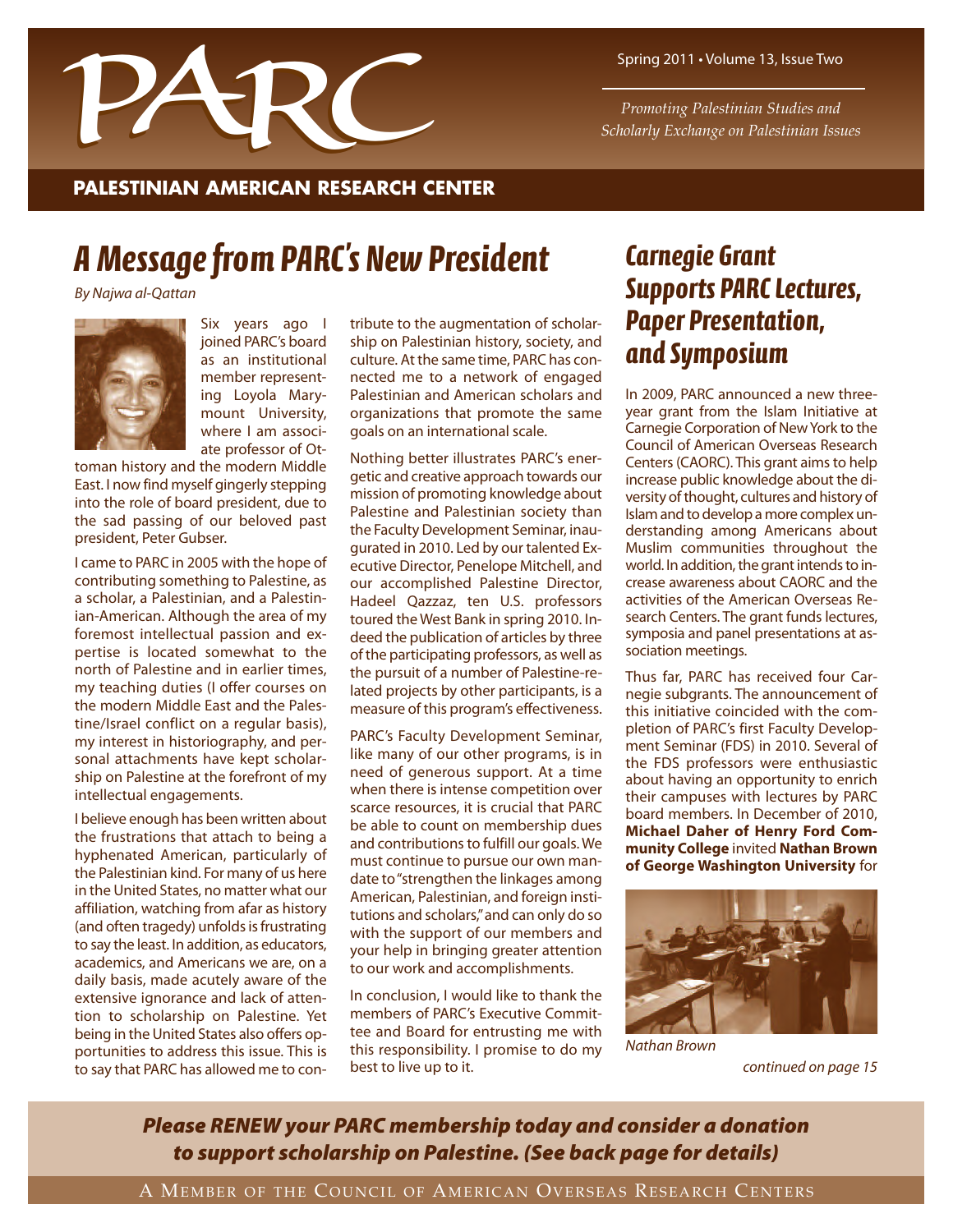

Spring 2011 • Volume 13, Issue Two

*Promoting Palestinian Studies and Scholarly Exchange on Palestinian Issues*

### **PALESTINIAN AMERICAN RESEARCH CENTER**

## *A Message from PARC's New President*

By Najwa al-Qattan



Six years ago I joined PARC's board as an institutional member representing Loyola Marymount University, where I am associate professor of Ot-

toman history and the modern Middle East. I now find myself gingerly stepping into the role of board president, due to the sad passing of our beloved past president, Peter Gubser.

I came to PARC in 2005 with the hope of contributing something to Palestine, as a scholar, a Palestinian, and a Palestinian-American. Although the area of my foremost intellectual passion and expertise is located somewhat to the north of Palestine and in earlier times, my teaching duties (I offer courses on the modern Middle East and the Palestine/Israel conflict on a regular basis), my interest in historiography, and personal attachments have kept scholarship on Palestine at the forefront of my intellectual engagements.

I believe enough has been written about the frustrations that attach to being a hyphenated American, particularly of the Palestinian kind. For many of us here in the United States, no matter what our affiliation, watching from afar as history (and often tragedy) unfolds is frustrating to say the least. In addition, as educators, academics, and Americans we are, on a daily basis, made acutely aware of the extensive ignorance and lack of attention to scholarship on Palestine. Yet being in the United States also offers opportunities to address this issue. This is to say that PARC has allowed me to contribute to the augmentation of scholarship on Palestinian history, society, and culture. At the same time, PARC has connected me to a network of engaged Palestinian and American scholars and organizations that promote the same goals on an international scale.

Nothing better illustrates PARC's energetic and creative approach towards our mission of promoting knowledge about Palestine and Palestinian society than the Faculty Development Seminar, inaugurated in 2010. Led by our talented Executive Director, Penelope Mitchell, and our accomplished Palestine Director, Hadeel Qazzaz, ten U.S. professors toured the West Bank in spring 2010. Indeed the publication of articles by three of the participating professors, as well as the pursuit of a number of Palestine-related projects by other participants, is a measure of this program's effectiveness.

PARC's Faculty Development Seminar, like many of our other programs, is in need of generous support. At a time when there is intense competition over scarce resources, it is crucial that PARC be able to count on membership dues and contributions to fulfill our goals. We must continue to pursue our own mandate to"strengthen the linkages among American, Palestinian, and foreign institutions and scholars,"and can only do so with the support of our members and your help in bringing greater attention to our work and accomplishments.

In conclusion, I would like to thank the members of PARC's Executive Committee and Board for entrusting me with this responsibility. I promise to do my best to live up to it.

## *Carnegie Grant Supports PARC Lectures, Paper Presentation, and Symposium*

In 2009, PARC announced a new threeyear grant from the Islam Initiative at Carnegie Corporation of New York to the Council of American Overseas Research Centers (CAORC). This grant aims to help increase public knowledge about the diversity of thought, cultures and history of Islam and to develop a more complex understanding among Americans about Muslim communities throughout the world. In addition, the grant intends to increase awareness about CAORC and the activities of the American Overseas Research Centers. The grant funds lectures, symposia and panel presentations at association meetings.

Thus far, PARC has received four Carnegie subgrants. The announcement of this initiative coincided with the completion of PARC's first Faculty Development Seminar (FDS) in 2010. Several of the FDS professors were enthusiastic about having an opportunity to enrich their campuses with lectures by PARC board members. In December of 2010, **Michael Daher of Henry Ford Community College** invited **Nathan Brown of George Washington University** for



Nathan Brown

*Please RENEW your PARC membership today and consider a donation to support scholarship on Palestine. (See back page for details)*

continued on page 15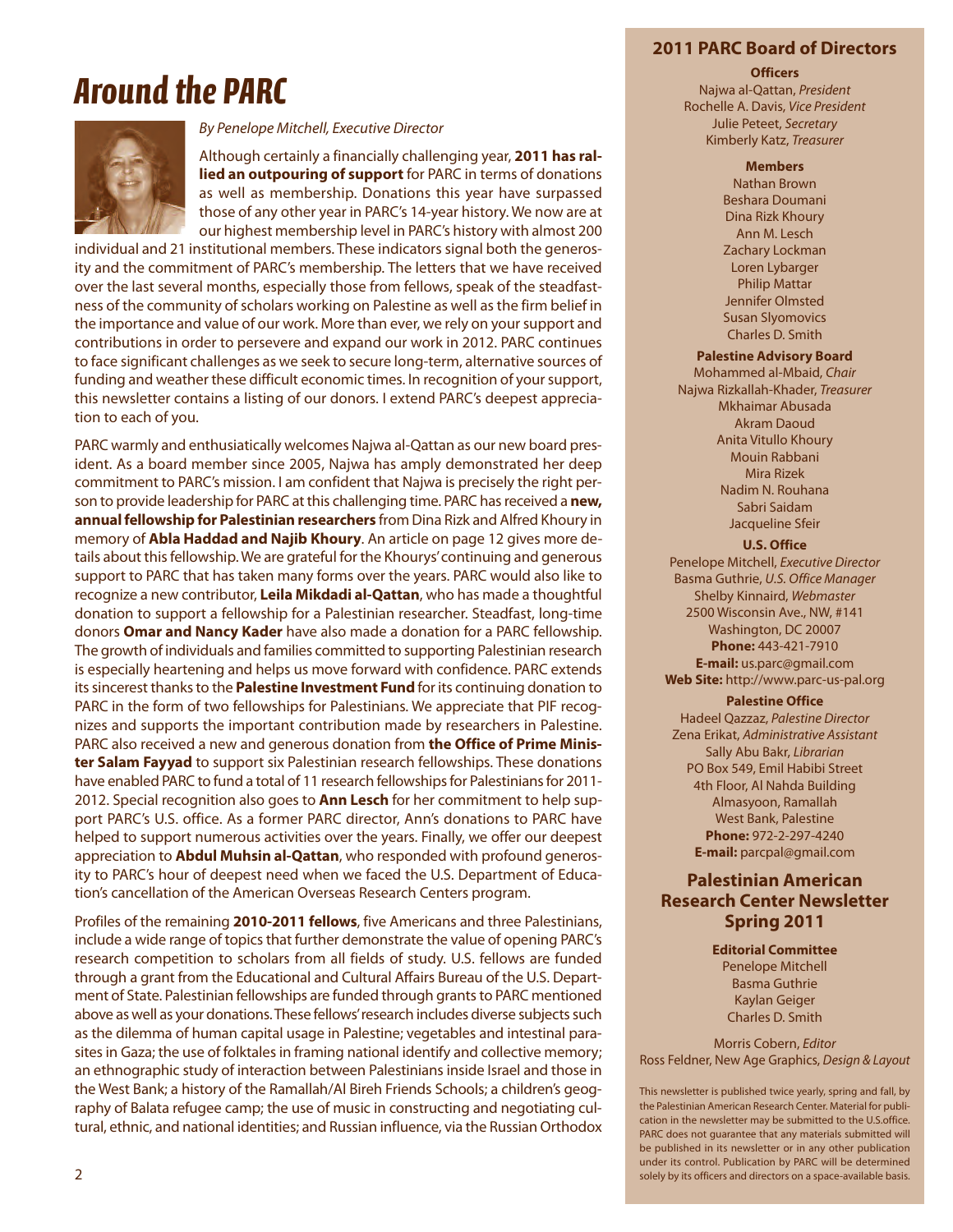### **2011 PARC Board of Directors**

# *Around the PARC*



#### By Penelope Mitchell, Executive Director

Although certainly a financially challenging year, **2011 has rallied an outpouring of support** for PARC in terms of donations as well as membership. Donations this year have surpassed those of any other year in PARC's 14-year history. We now are at our highest membership level in PARC's history with almost 200

individual and 21 institutional members. These indicators signal both the generosity and the commitment of PARC's membership. The letters that we have received over the last several months, especially those from fellows, speak of the steadfastness of the community of scholars working on Palestine as well as the firm belief in the importance and value of our work. More than ever, we rely on your support and contributions in order to persevere and expand our work in 2012. PARC continues to face significant challenges as we seek to secure long-term, alternative sources of funding and weather these difficult economic times. In recognition of your support, this newsletter contains a listing of our donors. I extend PARC's deepest appreciation to each of you.

PARC warmly and enthusiatically welcomes Najwa al-Qattan as our new board president. As a board member since 2005, Najwa has amply demonstrated her deep commitment to PARC's mission. I am confident that Najwa is precisely the right person to provide leadership for PARC at this challenging time. PARC has received a **new, annual fellowship for Palestinian researchers** from Dina Rizk and Alfred Khoury in memory of **Abla Haddad and Najib Khoury**. An article on page 12 gives more details about this fellowship. We are grateful for the Khourys'continuing and generous support to PARC that has taken many forms over the years. PARC would also like to recognize a new contributor, **Leila Mikdadi al-Qattan**, who has made a thoughtful donation to support a fellowship for a Palestinian researcher. Steadfast, long-time donors **Omar and Nancy Kader** have also made a donation for a PARC fellowship. The growth of individuals and families committed to supporting Palestinian research is especially heartening and helps us move forward with confidence. PARC extends its sincerest thanks to the **Palestine Investment Fund** for its continuing donation to PARC in the form of two fellowships for Palestinians. We appreciate that PIF recognizes and supports the important contribution made by researchers in Palestine. PARC also received a new and generous donation from **the Office of Prime Minister Salam Fayyad** to support six Palestinian research fellowships. These donations have enabled PARC to fund a total of 11 research fellowships for Palestinians for 2011- 2012. Special recognition also goes to **Ann Lesch** for her commitment to help support PARC's U.S. office. As a former PARC director, Ann's donations to PARC have helped to support numerous activities over the years. Finally, we offer our deepest appreciation to **Abdul Muhsin al-Qattan**, who responded with profound generosity to PARC's hour of deepest need when we faced the U.S. Department of Education's cancellation of the American Overseas Research Centers program.

Profiles of the remaining **2010-2011 fellows**, five Americans and three Palestinians, include a wide range of topics that further demonstrate the value of opening PARC's research competition to scholars from all fields of study. U.S. fellows are funded through a grant from the Educational and Cultural Affairs Bureau of the U.S. Department of State. Palestinian fellowships are funded through grants to PARC mentioned above as well as your donations. These fellows'research includes diverse subjects such as the dilemma of human capital usage in Palestine; vegetables and intestinal parasites in Gaza; the use of folktales in framing national identify and collective memory; an ethnographic study of interaction between Palestinians inside Israel and those in the West Bank; a history of the Ramallah/Al Bireh Friends Schools; a children's geography of Balata refugee camp; the use of music in constructing and negotiating cultural, ethnic, and national identities; and Russian influence, via the Russian Orthodox

#### **Officers** Najwa al-Qattan, *President* Rochelle A. Davis, Vice President Julie Peteet, *Secretary* Kimberly Katz, *Treasurer*

#### **Members**

Nathan Brown Beshara Doumani Dina Rizk Khoury Ann M. Lesch Zachary Lockman Loren Lybarger Philip Mattar Jennifer Olmsted Susan Slyomovics Charles D. Smith

#### **Palestine Advisory Board**

Mohammed al-Mbaid, Chair Najwa Rizkallah-Khader, *Treasurer* Mkhaimar Abusada Akram Daoud Anita Vitullo Khoury Mouin Rabbani Mira Rizek Nadim N. Rouhana Sabri Saidam Jacqueline Sfeir

#### **U.S. Office**

Penelope Mitchell, *Executive Director* Basma Guthrie, *U.S. Office Manager* Shelby Kinnaird, *Webmaster* 2500 Wisconsin Ave., NW, #141 Washington, DC 20007 **Phone:** 443-421-7910 **E-mail:** us.parc@gmail.com **Web Site:** http://www.parc-us-pal.org

#### **Palestine Office**

Hadeel Qazzaz, *Palestine Director* Zena Erikat, *Administrative Assistant* Sally Abu Bakr, *Librarian* PO Box 549, Emil Habibi Street 4th Floor, Al Nahda Building Almasyoon, Ramallah West Bank, Palestine **Phone:** 972-2-297-4240 **E-mail:** parcpal@gmail.com

### **Palestinian American Research Center Newsletter Spring 2011**

### **Editorial Committee**

Penelope Mitchell Basma Guthrie Kaylan Geiger Charles D. Smith

Morris Cobern, *Editor* Ross Feldner, New Age Graphics, *Design & Layout*

This newsletter is published twice yearly, spring and fall, by the Palestinian American Research Center. Material for publication in the newsletter may be submitted to the U.S.office. PARC does not guarantee that any materials submitted will be published in its newsletter or in any other publication under its control. Publication by PARC will be determined solely by its officers and directors on a space-available basis.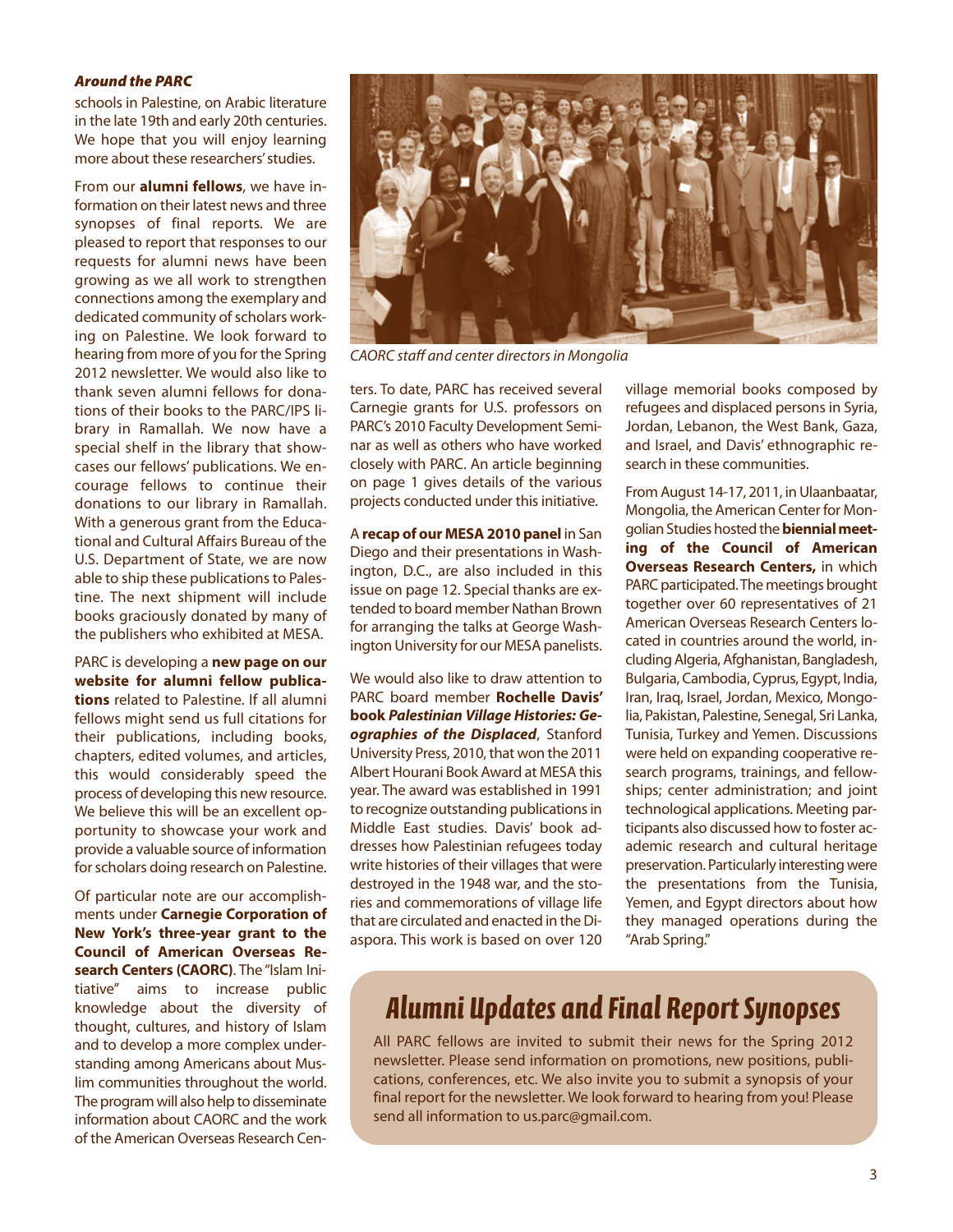#### *Around the PARC*

schools in Palestine, on Arabic literature in the late 19th and early 20th centuries. We hope that you will enjoy learning more about these researchers' studies.

From our **alumni fellows**, we have information on their latest news and three synopses of final reports. We are pleased to report that responses to our requests for alumni news have been growing as we all work to strengthen connections among the exemplary and dedicated community of scholars working on Palestine. We look forward to hearing from more of you for the Spring 2012 newsletter. We would also like to thank seven alumni fellows for donations of their books to the PARC/IPS library in Ramallah. We now have a special shelf in the library that showcases our fellows' publications. We encourage fellows to continue their donations to our library in Ramallah. With a generous grant from the Educational and Cultural Affairs Bureau of the U.S. Department of State, we are now able to ship these publications to Palestine. The next shipment will include books graciously donated by many of the publishers who exhibited at MESA.

PARC is developing a **new page on our website for alumni fellow publications** related to Palestine. If all alumni fellows might send us full citations for their publications, including books, chapters, edited volumes, and articles, this would considerably speed the process of developing this new resource. We believe this will be an excellent opportunity to showcase your work and provide a valuable source of information for scholars doing research on Palestine.

Of particular note are our accomplishments under **Carnegie Corporation of New York's three-year grant to the Council of American Overseas Research Centers (CAORC)**. The "Islam Initiative" aims to increase public knowledge about the diversity of thought, cultures, and history of Islam and to develop a more complex understanding among Americans about Muslim communities throughout the world. The program will also help to disseminate information about CAORC and the work of the American Overseas Research Cen-



CAORC staff and center directors in Mongolia

ters. To date, PARC has received several Carnegie grants for U.S. professors on PARC's 2010 Faculty Development Seminar as well as others who have worked closely with PARC. An article beginning on page 1 gives details of the various projects conducted under this initiative.

A **recap of our MESA 2010 panel** in San Diego and their presentations in Washington, D.C., are also included in this issue on page 12. Special thanks are extended to board member Nathan Brown for arranging the talks at George Washington University for our MESA panelists.

We would also like to draw attention to PARC board member **Rochelle Davis' book** *Palestinian Village Histories: Geographies of the Displaced*, Stanford University Press, 2010, that won the 2011 Albert Hourani Book Award at MESA this year. The award was established in 1991 to recognize outstanding publications in Middle East studies. Davis' book addresses how Palestinian refugees today write histories of their villages that were destroyed in the 1948 war, and the stories and commemorations of village life that are circulated and enacted in the Diaspora. This work is based on over 120 village memorial books composed by refugees and displaced persons in Syria, Jordan, Lebanon, the West Bank, Gaza, and Israel, and Davis' ethnographic research in these communities.

From August 14-17, 2011, in Ulaanbaatar, Mongolia, the American Center for Mongolian Studies hosted the**biennial meeting of the Council of American Overseas Research Centers,** in which PARC participated.The meetings brought together over 60 representatives of 21 American Overseas Research Centers located in countries around the world, including Algeria, Afghanistan, Bangladesh, Bulgaria, Cambodia, Cyprus, Egypt, India, Iran, Iraq, Israel, Jordan, Mexico, Mongolia, Pakistan, Palestine, Senegal, Sri Lanka, Tunisia, Turkey and Yemen. Discussions were held on expanding cooperative research programs, trainings, and fellowships; center administration; and joint technological applications. Meeting participants also discussed how to foster academic research and cultural heritage preservation. Particularly interesting were the presentations from the Tunisia, Yemen, and Egypt directors about how they managed operations during the "Arab Spring."

## *Alumni Updates and Final Report Synopses*

All PARC fellows are invited to submit their news for the Spring 2012 newsletter. Please send information on promotions, new positions, publications, conferences, etc. We also invite you to submit a synopsis of your final report for the newsletter. We look forward to hearing from you! Please send all information to us.parc@gmail.com.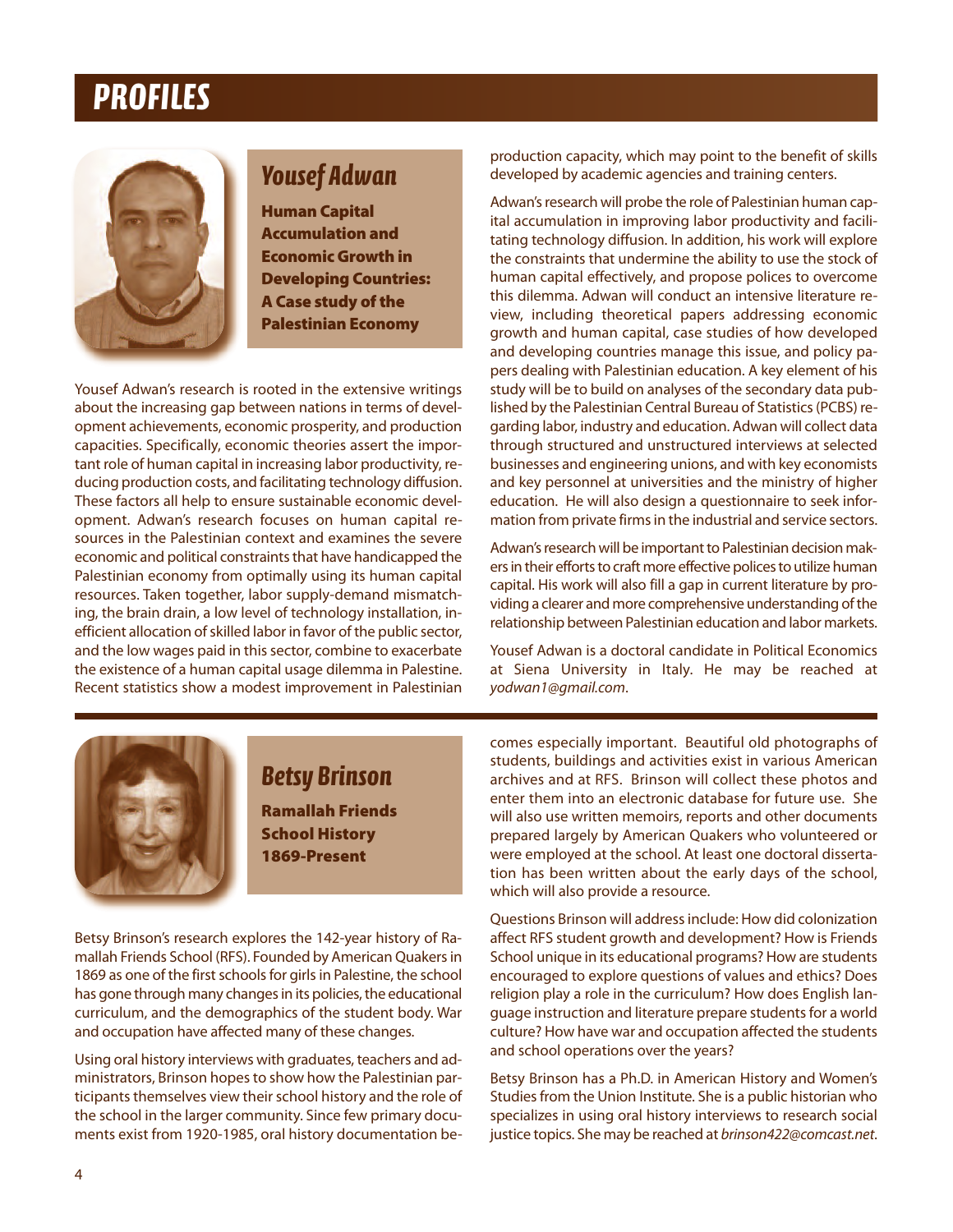## *PROFILES*



## *Yousef Adwan*

**Human Capital Accumulation and Economic Growth in Developing Countries: A Case study of the Palestinian Economy**

Yousef Adwan's research is rooted in the extensive writings about the increasing gap between nations in terms of development achievements, economic prosperity, and production capacities. Specifically, economic theories assert the important role of human capital in increasing labor productivity, reducing production costs, and facilitating technology diffusion. These factors all help to ensure sustainable economic development. Adwan's research focuses on human capital resources in the Palestinian context and examines the severe economic and political constraints that have handicapped the Palestinian economy from optimally using its human capital resources. Taken together, labor supply-demand mismatching, the brain drain, a low level of technology installation, inefficient allocation of skilled labor in favor of the public sector, and the low wages paid in this sector, combine to exacerbate the existence of a human capital usage dilemma in Palestine. Recent statistics show a modest improvement in Palestinian production capacity, which may point to the benefit of skills developed by academic agencies and training centers.

Adwan's research will probe the role of Palestinian human capital accumulation in improving labor productivity and facilitating technology diffusion. In addition, his work will explore the constraints that undermine the ability to use the stock of human capital effectively, and propose polices to overcome this dilemma. Adwan will conduct an intensive literature review, including theoretical papers addressing economic growth and human capital, case studies of how developed and developing countries manage this issue, and policy papers dealing with Palestinian education. A key element of his study will be to build on analyses of the secondary data published by the Palestinian Central Bureau of Statistics (PCBS) regarding labor, industry and education. Adwan will collect data through structured and unstructured interviews at selected businesses and engineering unions, and with key economists and key personnel at universities and the ministry of higher education. He will also design a questionnaire to seek information from private firms in the industrial and service sectors.

Adwan's research will be important to Palestinian decision makers in their efforts to craft more effective polices to utilize human capital. His work will also fill a gap in current literature by providing a clearer and more comprehensive understanding of the relationship between Palestinian education and labor markets.

Yousef Adwan is a doctoral candidate in Political Economics at Siena University in Italy. He may be reached at yodwan1@gmail.com.



### *Betsy Brinson*

**Ramallah Friends School History 1869-Present**

Betsy Brinson's research explores the 142-year history of Ramallah Friends School (RFS). Founded by American Quakers in 1869 as one of the first schools for girls in Palestine, the school has gone through many changes in its policies, the educational curriculum, and the demographics of the student body. War and occupation have affected many of these changes.

Using oral history interviews with graduates, teachers and administrators, Brinson hopes to show how the Palestinian participants themselves view their school history and the role of the school in the larger community. Since few primary documents exist from 1920-1985, oral history documentation becomes especially important. Beautiful old photographs of students, buildings and activities exist in various American archives and at RFS. Brinson will collect these photos and enter them into an electronic database for future use. She will also use written memoirs, reports and other documents prepared largely by American Quakers who volunteered or were employed at the school. At least one doctoral dissertation has been written about the early days of the school, which will also provide a resource.

Questions Brinson will address include: How did colonization affect RFS student growth and development? How is Friends School unique in its educational programs? How are students encouraged to explore questions of values and ethics? Does religion play a role in the curriculum? How does English language instruction and literature prepare students for a world culture? How have war and occupation affected the students and school operations over the years?

Betsy Brinson has a Ph.D. in American History and Women's Studies from the Union Institute. She is a public historian who specializes in using oral history interviews to research social justice topics. She may be reached at brinson422@comcast.net.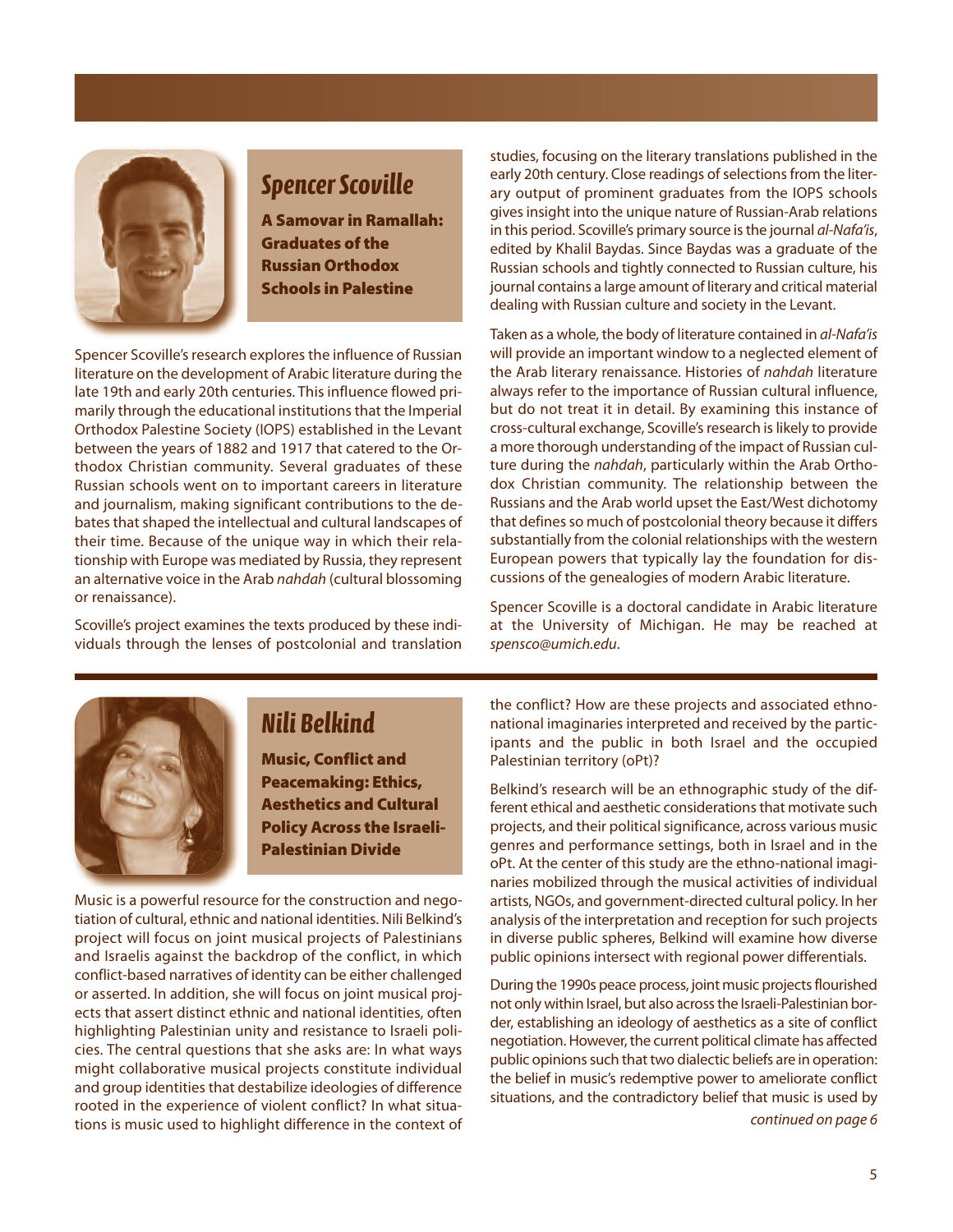

### *Spencer Scoville*

**A Samovar in Ramallah: Graduates of the Russian Orthodox Schools in Palestine**

Spencer Scoville's research explores the influence of Russian literature on the development of Arabic literature during the late 19th and early 20th centuries. This influence flowed primarily through the educational institutions that the Imperial Orthodox Palestine Society (IOPS) established in the Levant between the years of 1882 and 1917 that catered to the Orthodox Christian community. Several graduates of these Russian schools went on to important careers in literature and journalism, making significant contributions to the debates that shaped the intellectual and cultural landscapes of their time. Because of the unique way in which their relationship with Europe was mediated by Russia, they represent an alternative voice in the Arab nahdah (cultural blossoming or renaissance).

Scoville's project examines the texts produced by these individuals through the lenses of postcolonial and translation studies, focusing on the literary translations published in the early 20th century. Close readings of selections from the literary output of prominent graduates from the IOPS schools gives insight into the unique nature of Russian-Arab relations in this period. Scoville's primary source is the journal al-Nafa'is, edited by Khalil Baydas. Since Baydas was a graduate of the Russian schools and tightly connected to Russian culture, his journal contains a large amount of literary and critical material dealing with Russian culture and society in the Levant.

Taken as a whole, the body of literature contained in al-Nafa'is will provide an important window to a neglected element of the Arab literary renaissance. Histories of nahdah literature always refer to the importance of Russian cultural influence, but do not treat it in detail. By examining this instance of cross-cultural exchange, Scoville's research is likely to provide a more thorough understanding of the impact of Russian culture during the nahdah, particularly within the Arab Orthodox Christian community. The relationship between the Russians and the Arab world upset the East/West dichotomy that defines so much of postcolonial theory because it differs substantially from the colonial relationships with the western European powers that typically lay the foundation for discussions of the genealogies of modern Arabic literature.

Spencer Scoville is a doctoral candidate in Arabic literature at the University of Michigan. He may be reached at spensco@umich.edu.



### *Nili Belkind*

**Music, Conflict and Peacemaking: Ethics, Aesthetics and Cultural Policy Across the Israeli-Palestinian Divide**

Music is a powerful resource for the construction and negotiation of cultural, ethnic and national identities. Nili Belkind's project will focus on joint musical projects of Palestinians and Israelis against the backdrop of the conflict, in which conflict-based narratives of identity can be either challenged or asserted. In addition, she will focus on joint musical projects that assert distinct ethnic and national identities, often highlighting Palestinian unity and resistance to Israeli policies. The central questions that she asks are: In what ways might collaborative musical projects constitute individual and group identities that destabilize ideologies of difference rooted in the experience of violent conflict? In what situations is music used to highlight difference in the context of the conflict? How are these projects and associated ethnonational imaginaries interpreted and received by the participants and the public in both Israel and the occupied Palestinian territory (oPt)?

Belkind's research will be an ethnographic study of the different ethical and aesthetic considerations that motivate such projects, and their political significance, across various music genres and performance settings, both in Israel and in the oPt. At the center of this study are the ethno-national imaginaries mobilized through the musical activities of individual artists, NGOs, and government-directed cultural policy. In her analysis of the interpretation and reception for such projects in diverse public spheres, Belkind will examine how diverse public opinions intersect with regional power differentials.

During the 1990s peace process, joint music projects flourished not only within Israel, but also across the Israeli-Palestinian border, establishing an ideology of aesthetics as a site of conflict negotiation. However, the current political climate has affected public opinions such that two dialectic beliefs are in operation: the belief in music's redemptive power to ameliorate conflict situations, and the contradictory belief that music is used by continued on page 6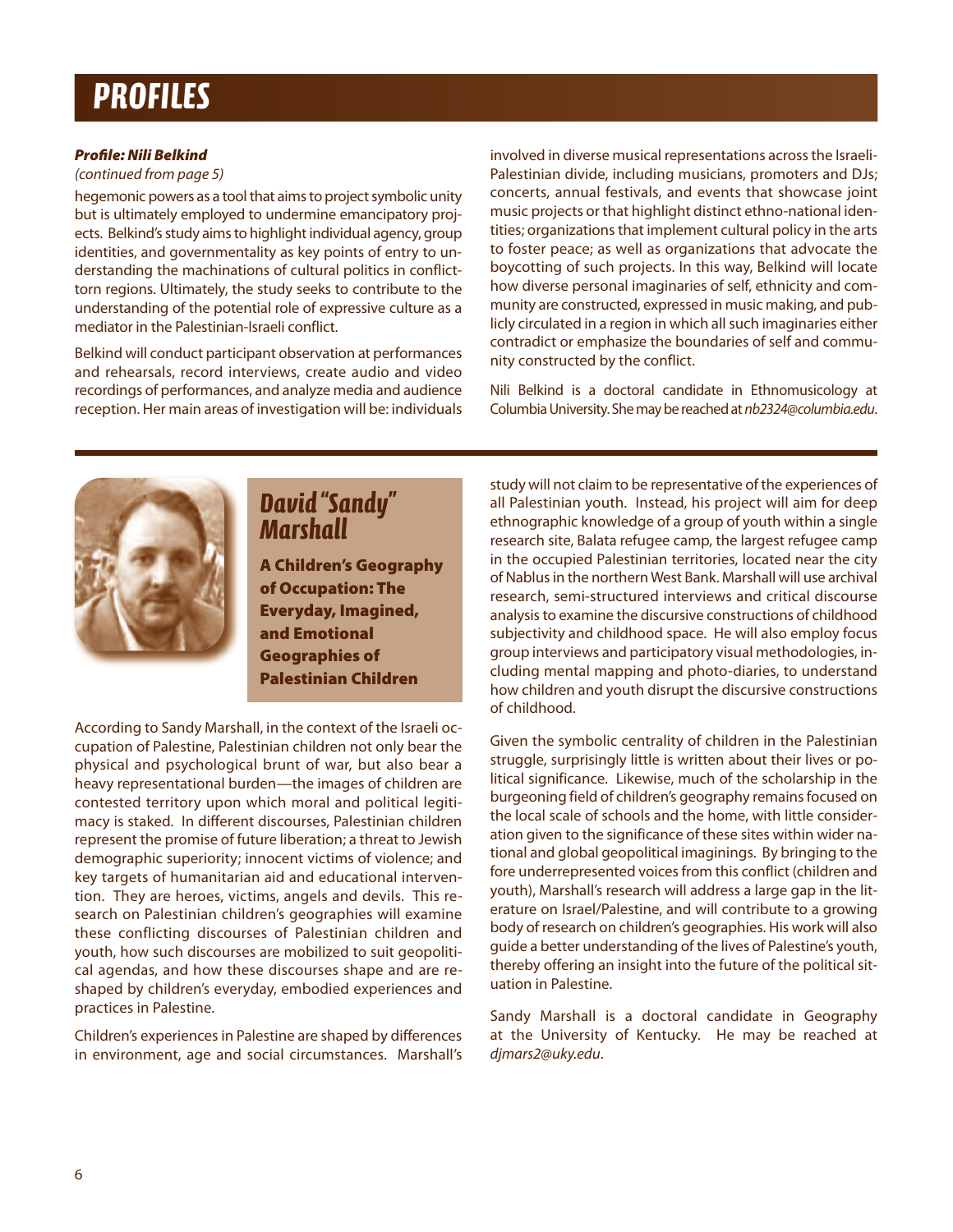## *PROFILES*

### *Profile: Nili Belkind*

(continued from page 5)

hegemonic powers as a tool that aims to project symbolic unity but is ultimately employed to undermine emancipatory projects. Belkind's study aims to highlight individual agency, group identities, and governmentality as key points of entry to understanding the machinations of cultural politics in conflicttorn regions. Ultimately, the study seeks to contribute to the understanding of the potential role of expressive culture as a mediator in the Palestinian-Israeli conflict.

Belkind will conduct participant observation at performances and rehearsals, record interviews, create audio and video recordings of performances, and analyze media and audience reception. Her main areas of investigation will be: individuals involved in diverse musical representations across the Israeli-Palestinian divide, including musicians, promoters and DJs; concerts, annual festivals, and events that showcase joint music projects or that highlight distinct ethno-national identities; organizations that implement cultural policy in the arts to foster peace; as well as organizations that advocate the boycotting of such projects. In this way, Belkind will locate how diverse personal imaginaries of self, ethnicity and community are constructed, expressed in music making, and publicly circulated in a region in which all such imaginaries either contradict or emphasize the boundaries of self and community constructed by the conflict.

Nili Belkind is a doctoral candidate in Ethnomusicology at Columbia University. She may be reached at nb2324@columbia.edu.



### *David "Sandy" Marshall*

**A Children's Geography of Occupation: The Everyday, Imagined, and Emotional Geographies of Palestinian Children**

According to Sandy Marshall, in the context of the Israeli occupation of Palestine, Palestinian children not only bear the physical and psychological brunt of war, but also bear a heavy representational burden—the images of children are contested territory upon which moral and political legitimacy is staked. In different discourses, Palestinian children represent the promise of future liberation; a threat to Jewish demographic superiority; innocent victims of violence; and key targets of humanitarian aid and educational intervention. They are heroes, victims, angels and devils. This research on Palestinian children's geographies will examine these conflicting discourses of Palestinian children and youth, how such discourses are mobilized to suit geopolitical agendas, and how these discourses shape and are reshaped by children's everyday, embodied experiences and practices in Palestine.

Children's experiences in Palestine are shaped by differences in environment, age and social circumstances. Marshall's study will not claim to be representative of the experiences of all Palestinian youth. Instead, his project will aim for deep ethnographic knowledge of a group of youth within a single research site, Balata refugee camp, the largest refugee camp in the occupied Palestinian territories, located near the city of Nablus in the northern West Bank. Marshall will use archival research, semi-structured interviews and critical discourse analysis to examine the discursive constructions of childhood subjectivity and childhood space. He will also employ focus group interviews and participatory visual methodologies, including mental mapping and photo-diaries, to understand how children and youth disrupt the discursive constructions of childhood.

Given the symbolic centrality of children in the Palestinian struggle, surprisingly little is written about their lives or political significance. Likewise, much of the scholarship in the burgeoning field of children's geography remains focused on the local scale of schools and the home, with little consideration given to the significance of these sites within wider national and global geopolitical imaginings. By bringing to the fore underrepresented voices from this conflict (children and youth), Marshall's research will address a large gap in the literature on Israel/Palestine, and will contribute to a growing body of research on children's geographies. His work will also guide a better understanding of the lives of Palestine's youth, thereby offering an insight into the future of the political situation in Palestine.

Sandy Marshall is a doctoral candidate in Geography at the University of Kentucky. He may be reached at djmars2@uky.edu.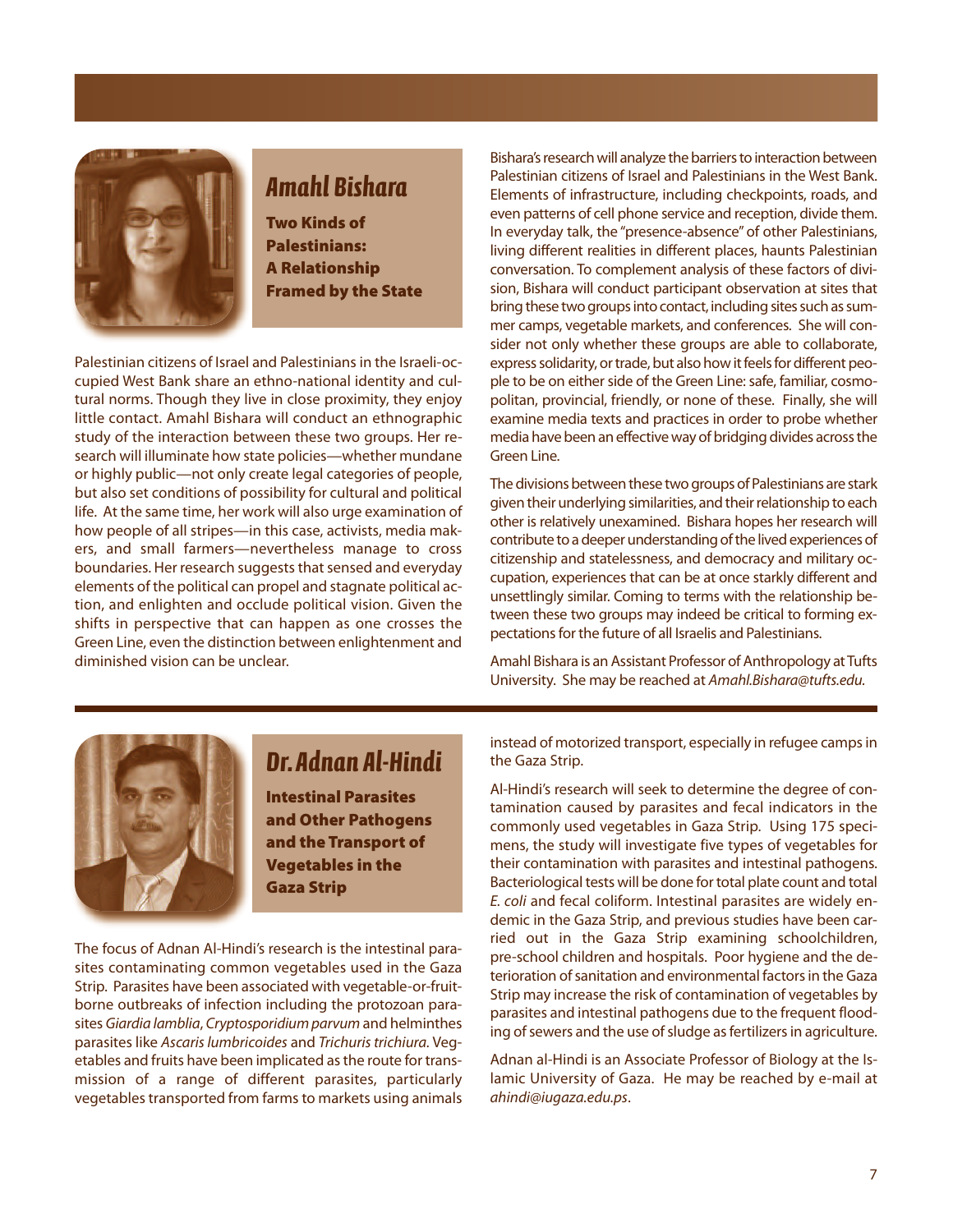

## *Amahl Bishara*

**Two Kinds of Palestinians: A Relationship Framed by the State**

Palestinian citizens of Israel and Palestinians in the Israeli-occupied West Bank share an ethno-national identity and cultural norms. Though they live in close proximity, they enjoy little contact. Amahl Bishara will conduct an ethnographic study of the interaction between these two groups. Her research will illuminate how state policies—whether mundane or highly public—not only create legal categories of people, but also set conditions of possibility for cultural and political life. At the same time, her work will also urge examination of how people of all stripes—in this case, activists, media makers, and small farmers—nevertheless manage to cross boundaries. Her research suggests that sensed and everyday elements of the political can propel and stagnate political action, and enlighten and occlude political vision. Given the shifts in perspective that can happen as one crosses the Green Line, even the distinction between enlightenment and diminished vision can be unclear.

Bishara's research will analyze the barriers to interaction between Palestinian citizens of Israel and Palestinians in the West Bank. Elements of infrastructure, including checkpoints, roads, and even patterns of cell phone service and reception, divide them. In everyday talk, the "presence-absence" of other Palestinians, living different realities in different places, haunts Palestinian conversation. To complement analysis of these factors of division, Bishara will conduct participant observation at sites that bring these two groups into contact, including sites such as summer camps, vegetable markets, and conferences. She will consider not only whether these groups are able to collaborate, express solidarity, or trade, but also how it feels for different people to be on either side of the Green Line: safe, familiar, cosmopolitan, provincial, friendly, or none of these. Finally, she will examine media texts and practices in order to probe whether media have been an effective way of bridging divides across the Green Line.

The divisions between these two groups of Palestinians are stark given their underlying similarities, and their relationship to each other is relatively unexamined. Bishara hopes her research will contribute to a deeper understanding of the lived experiences of citizenship and statelessness, and democracy and military occupation, experiences that can be at once starkly different and unsettlingly similar. Coming to terms with the relationship between these two groups may indeed be critical to forming expectations for the future of all Israelis and Palestinians.

Amahl Bishara is an Assistant Professor of Anthropology at Tufts University. She may be reached at Amahl.Bishara@tufts.edu.



### *Dr. Adnan Al-Hindi*

**Intestinal Parasites and Other Pathogens and the Transport of Vegetables in the Gaza Strip**

The focus of Adnan Al-Hindi's research is the intestinal parasites contaminating common vegetables used in the Gaza Strip. Parasites have been associated with vegetable-or-fruitborne outbreaks of infection including the protozoan parasites *Giardia lamblia*, *Cryptosporidium parvum* and helminthes parasites like *Ascaris lumbricoides* and *Trichuris trichiura.* Vegetables and fruits have been implicated as the route for transmission of a range of different parasites, particularly vegetables transported from farms to markets using animals instead of motorized transport, especially in refugee camps in the Gaza Strip.

Al-Hindi's research will seek to determine the degree of contamination caused by parasites and fecal indicators in the commonly used vegetables in Gaza Strip. Using 175 specimens, the study will investigate five types of vegetables for their contamination with parasites and intestinal pathogens. Bacteriological tests will be done for total plate count and total *E. coli* and fecal coliform. Intestinal parasites are widely endemic in the Gaza Strip, and previous studies have been carried out in the Gaza Strip examining schoolchildren, pre-school children and hospitals. Poor hygiene and the deterioration of sanitation and environmental factors in the Gaza Strip may increase the risk of contamination of vegetables by parasites and intestinal pathogens due to the frequent flooding of sewers and the use of sludge as fertilizers in agriculture.

Adnan al-Hindi is an Associate Professor of Biology at the Islamic University of Gaza. He may be reached by e-mail at *ahindi@iugaza.edu.ps*.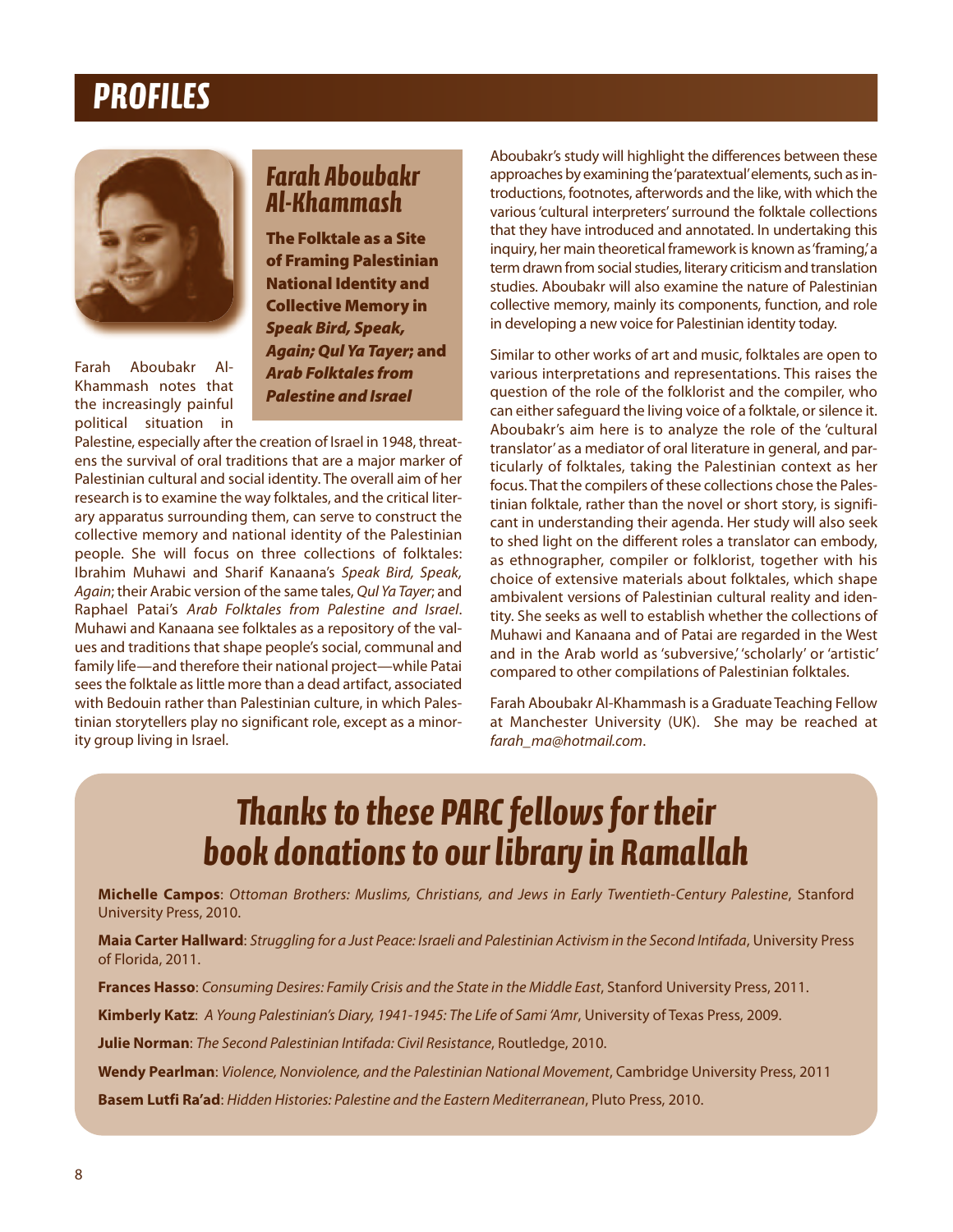## *PROFILES*



Farah Aboubakr Al-Khammash notes that the increasingly painful political situation in

### *Farah Aboubakr Al-Khammash*

**The Folktale as a Site of Framing Palestinian National Identity and Collective Memory in** *Speak Bird, Speak, Again; Qul Ya Tayer***; and** *Arab Folktales from Palestine and Israel*

Palestine, especially after the creation of Israel in 1948, threatens the survival of oral traditions that are a major marker of Palestinian cultural and social identity. The overall aim of her research is to examine the way folktales, and the critical literary apparatus surrounding them, can serve to construct the collective memory and national identity of the Palestinian people. She will focus on three collections of folktales: Ibrahim Muhawi and Sharif Kanaana's Speak Bird, Speak, Again; their Arabic version of the same tales, Qul Ya Tayer; and Raphael Patai's Arab Folktales from Palestine and Israel. Muhawi and Kanaana see folktales as a repository of the values and traditions that shape people's social, communal and family life—and therefore their national project—while Patai sees the folktale as little more than a dead artifact, associated with Bedouin rather than Palestinian culture, in which Palestinian storytellers play no significant role, except as a minority group living in Israel.

Aboubakr's study will highlight the differences between these approaches by examining the'paratextual'elements, such as introductions, footnotes, afterwords and the like, with which the various 'cultural interpreters' surround the folktale collections that they have introduced and annotated. In undertaking this inquiry, her main theoretical framework is known as'framing,'a term drawn from social studies, literary criticism and translation studies. Aboubakr will also examine the nature of Palestinian collective memory, mainly its components, function, and role in developing a new voice for Palestinian identity today.

Similar to other works of art and music, folktales are open to various interpretations and representations. This raises the question of the role of the folklorist and the compiler, who can either safeguard the living voice of a folktale, or silence it. Aboubakr's aim here is to analyze the role of the 'cultural translator' as a mediator of oral literature in general, and particularly of folktales, taking the Palestinian context as her focus. That the compilers of these collections chose the Palestinian folktale, rather than the novel or short story, is significant in understanding their agenda. Her study will also seek to shed light on the different roles a translator can embody, as ethnographer, compiler or folklorist, together with his choice of extensive materials about folktales, which shape ambivalent versions of Palestinian cultural reality and identity. She seeks as well to establish whether the collections of Muhawi and Kanaana and of Patai are regarded in the West and in the Arab world as 'subversive,' 'scholarly' or 'artistic' compared to other compilations of Palestinian folktales.

Farah Aboubakr Al-Khammash is a Graduate Teaching Fellow at Manchester University (UK). She may be reached at farah\_ma@hotmail.com.

# *Thanks to these PARC fellows for their book donations to our library in Ramallah*

**Michelle Campos**: *Ottoman Brothers: Muslims, Christians, and Jews in Early Twentieth-Century Palestine*, Stanford University Press, 2010.

**Maia Carter Hallward**: *Struggling for a Just Peace: Israeli and Palestinian Activism in the Second Intifada*, University Press of Florida, 2011.

**Frances Hasso**: *Consuming Desires: Family Crisis and the State in the Middle East*, Stanford University Press, 2011.

**Kimberly Katz**: *A Young Palestinian's Diary, 1941-1945: The Life of Sami 'Amr*, University of Texas Press, 2009.

**Julie Norman**: *The Second Palestinian Intifada: Civil Resistance*, Routledge, 2010.

**Wendy Pearlman**: *Violence, Nonviolence, and the Palestinian National Movement*, Cambridge University Press, 2011

**Basem Lutfi Ra'ad**: *Hidden Histories: Palestine and the Eastern Mediterranean*, Pluto Press, 2010.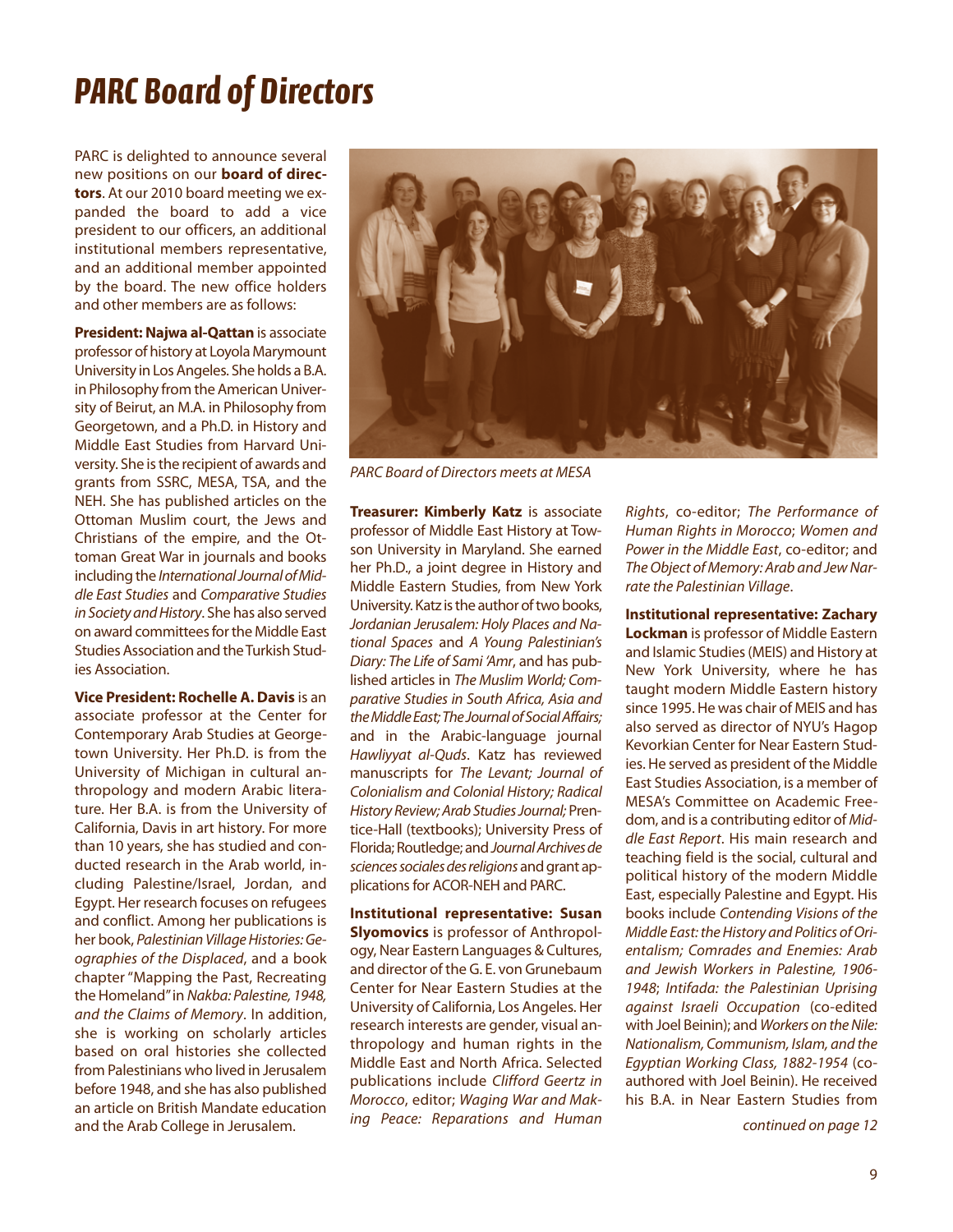# *PARC Board of Directors*

PARC is delighted to announce several new positions on our **board of directors**. At our 2010 board meeting we expanded the board to add a vice president to our officers, an additional institutional members representative, and an additional member appointed by the board. The new office holders and other members are as follows:

**President: Najwa al-Qattan** is associate professor of history at Loyola Marymount University in Los Angeles. She holds a B.A. in Philosophy from the American University of Beirut, an M.A. in Philosophy from Georgetown, and a Ph.D. in History and Middle East Studies from Harvard University. She is the recipient of awards and grants from SSRC, MESA, TSA, and the NEH. She has published articles on the Ottoman Muslim court, the Jews and Christians of the empire, and the Ottoman Great War in journals and books including the *International Journal of Middle East Studies* and *Comparative Studies in Society and History*. She has also served on award committees for the Middle East Studies Association and theTurkish Studies Association.

**Vice President: Rochelle A. Davis** is an associate professor at the Center for Contemporary Arab Studies at Georgetown University. Her Ph.D. is from the University of Michigan in cultural anthropology and modern Arabic literature. Her B.A. is from the University of California, Davis in art history. For more than 10 years, she has studied and conducted research in the Arab world, including Palestine/Israel, Jordan, and Egypt. Her research focuses on refugees and conflict. Among her publications is her book, *Palestinian Village Histories: Geographies of the Displaced*, and a book chapter "Mapping the Past, Recreating the Homeland"in *Nakba: Palestine, 1948, and the Claims of Memory*. In addition, she is working on scholarly articles based on oral histories she collected from Palestinians who lived in Jerusalem before 1948, and she has also published an article on British Mandate education and the Arab College in Jerusalem.



PARC Board of Directors meets at MESA

**Treasurer: Kimberly Katz** is associate professor of Middle East History at Towson University in Maryland. She earned her Ph.D., a joint degree in History and Middle Eastern Studies, from New York University. Katz is the author of two books, *Jordanian Jerusalem: Holy Places and National Spaces* and *A Young Palestinian's Diary: The Life of Sami 'Amr*, and has published articles in *The Muslim World; Comparative Studies in South Africa, Asia and the Middle East; The Journal of Social Affairs;* and in the Arabic-language journal *Hawliyyat al-Quds*. Katz has reviewed manuscripts for *The Levant; Journal of Colonialism and Colonial History; Radical History Review; Arab Studies Journal;* Prentice-Hall (textbooks); University Press of Florida; Routledge; and*Journal Archives de sciences sociales des religions* and grant applications for ACOR-NEH and PARC.

**Institutional representative: Susan Slyomovics** is professor of Anthropology, Near Eastern Languages & Cultures, and director of the G. E. von Grunebaum Center for Near Eastern Studies at the University of California, Los Angeles. Her research interests are gender, visual anthropology and human rights in the Middle East and North Africa. Selected publications include *Clifford Geertz in Morocco*, editor; *Waging War and Making Peace: Reparations and Human*

*Rights*, co-editor; *The Performance of Human Rights in Morocco*; *Women and Power in the Middle* East, co-editor; and *The Object of Memory: Arab and Jew Narrate the Palestinian Village*.

**Institutional representative: Zachary Lockman** is professor of Middle Eastern and Islamic Studies (MEIS) and History at New York University, where he has taught modern Middle Eastern history since 1995. He was chair of MEIS and has also served as director of NYU's Hagop Kevorkian Center for Near Eastern Studies. He served as president of the Middle East Studies Association, is a member of MESA's Committee on Academic Freedom, and is a contributing editor of *Middle East Report*. His main research and teaching field is the social, cultural and political history of the modern Middle East, especially Palestine and Egypt. His books include *Contending Visions of the Middle East: the History and Politics of Orientalism; Comrades and Enemies: Arab and Jewish Workers in Palestine, 1906- 1948*; *Intifada: the Palestinian Uprising against Israeli Occupation* (co-edited with Joel Beinin); and *Workers on the Nile: Nationalism, Communism, Islam, and the Egyptian Working Class, 1882-1954* (coauthored with Joel Beinin). He received his B.A. in Near Eastern Studies from

continued on page 12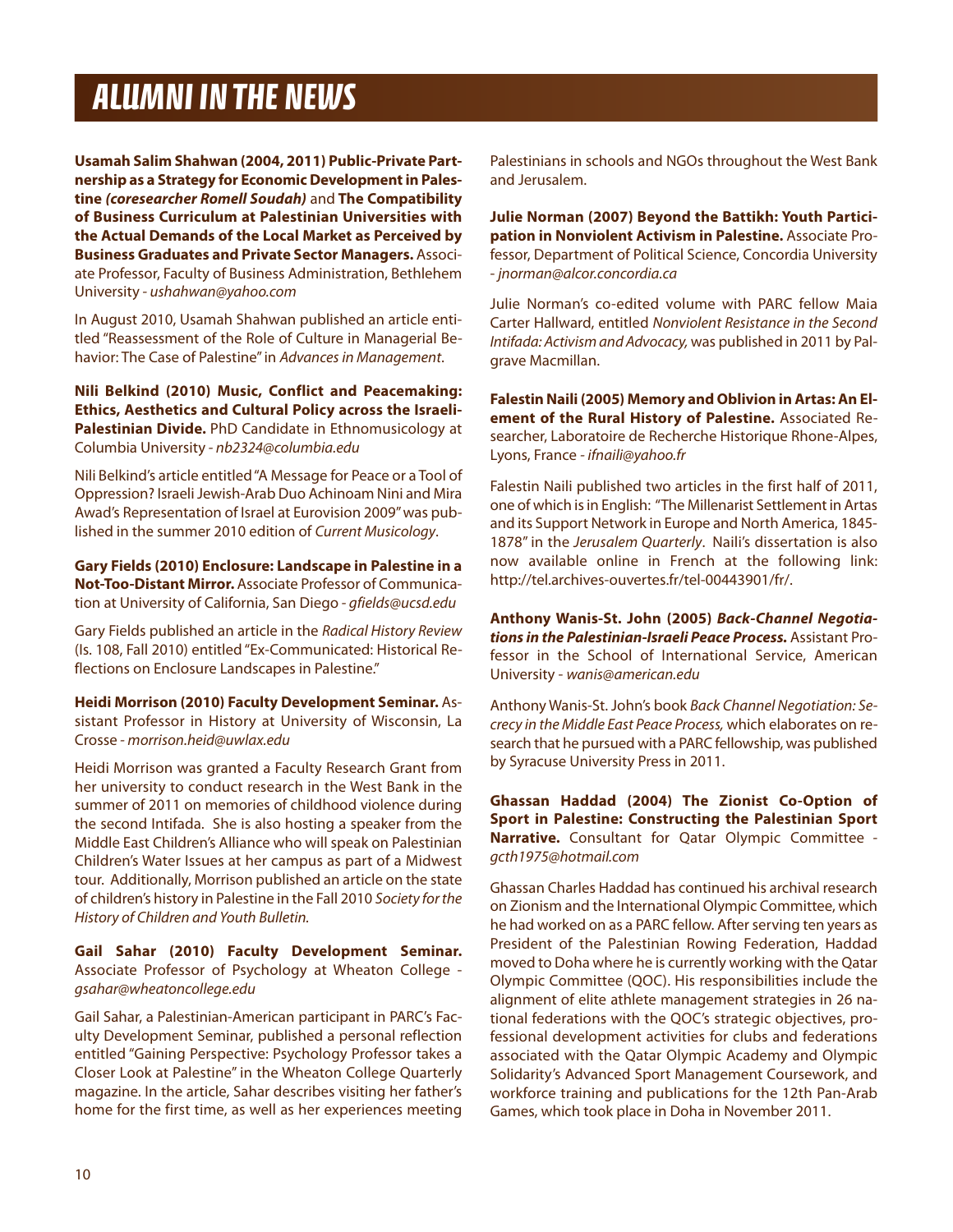## *ALUMNI IN THE NEWS*

**Usamah Salim Shahwan (2004, 2011) public-private partnership as a Strategy for Economic Development in palestine** *(coresearcher Romell Soudah)* and **The compatibility of Business curriculum at palestinian Universities with the actual Demands of the Local Market as perceived by Business graduates and private Sector Managers.** Associate Professor, Faculty of Business Administration, Bethlehem University - ushahwan@yahoo.com

In August 2010, Usamah Shahwan published an article entitled "Reassessment of the Role of Culture in Managerial Behavior: The Case of Palestine" in Advances in Management.

**Nili Belkind (2010) Music, conflict and peacemaking: Ethics, aesthetics and cultural policy across the Israelipalestinian Divide.** PhD Candidate in Ethnomusicology at Columbia University - nb2324@columbia.edu

Nili Belkind's article entitled "A Message for Peace or a Tool of Oppression? Israeli Jewish-Arab Duo Achinoam Nini and Mira Awad's Representation of Israel at Eurovision 2009" was published in the summer 2010 edition of Current Musicology.

**gary Fields (2010) Enclosure: Landscape in palestine in a Not-Too-Distant Mirror.** Associate Professor of Communication at University of California, San Diego - gfields@ucsd.edu

Gary Fields published an article in the Radical History Review (Is. 108, Fall 2010) entitled "Ex-Communicated: Historical Reflections on Enclosure Landscapes in Palestine."

**Heidi Morrison (2010) Faculty Development Seminar.** Assistant Professor in History at University of Wisconsin, La Crosse - morrison.heid@uwlax.edu

Heidi Morrison was granted a Faculty Research Grant from her university to conduct research in the West Bank in the summer of 2011 on memories of childhood violence during the second Intifada. She is also hosting a speaker from the Middle East Children's Alliance who will speak on Palestinian Children's Water Issues at her campus as part of a Midwest tour. Additionally, Morrison published an article on the state of children's history in Palestine in the Fall 2010 Society for the History of Children and Youth Bulletin.

**gail Sahar (2010) Faculty Development Seminar.** Associate Professor of Psychology at Wheaton College gsahar@wheatoncollege.edu

Gail Sahar, a Palestinian-American participant in PARC's Faculty Development Seminar, published a personal reflection entitled "Gaining Perspective: Psychology Professor takes a Closer Look at Palestine" in the Wheaton College Quarterly magazine. In the article, Sahar describes visiting her father's home for the first time, as well as her experiences meeting

Palestinians in schools and NGOs throughout the West Bank and Jerusalem.

**Julie Norman (2007) Beyond the Battikh: Youth participation in Nonviolent activism in palestine.** Associate Professor, Department of Political Science, Concordia University - jnorman@alcor.concordia.ca

Julie Norman's co-edited volume with PARC fellow Maia Carter Hallward, entitled Nonviolent Resistance in the Second Intifada: Activism and Advocacy, was published in 2011 by Palgrave Macmillan.

**Falestin Naili (2005) Memory and oblivion in artas: an El**ement of the Rural History of Palestine. Associated Researcher, Laboratoire de Recherche Historique Rhone-Alpes, Lyons, France - ifnaili@yahoo.fr

Falestin Naili published two articles in the first half of 2011, one of which is in English: "The Millenarist Settlement in Artas and its Support Network in Europe and North America, 1845- 1878" in the Jerusalem Quarterly. Naili's dissertation is also now available online in French at the following link: http://tel.archives-ouvertes.fr/tel-00443901/fr/.

**anthony wanis-St. John (2005)** *Back-Channel Negotiations in the Palestinian-Israeli Peace Process.* Assistant Professor in the School of International Service, American University - wanis@american.edu

Anthony Wanis-St. John's book Back Channel Negotiation: Secrecy in the Middle East Peace Process, which elaborates on research that he pursued with a PARC fellowship, was published by Syracuse University Press in 2011.

**ghassan Haddad (2004) The Zionist co-option of Sport in palestine: constructing the palestinian Sport Narrative.** Consultant for Qatar Olympic Committee gcth1975@hotmail.com

Ghassan Charles Haddad has continued his archival research on Zionism and the International Olympic Committee, which he had worked on as a PARC fellow. After serving ten years as President of the Palestinian Rowing Federation, Haddad moved to Doha where he is currently working with the Qatar Olympic Committee (QOC). His responsibilities include the alignment of elite athlete management strategies in 26 national federations with the QOC's strategic objectives, professional development activities for clubs and federations associated with the Qatar Olympic Academy and Olympic Solidarity's Advanced Sport Management Coursework, and workforce training and publications for the 12th Pan-Arab Games, which took place in Doha in November 2011.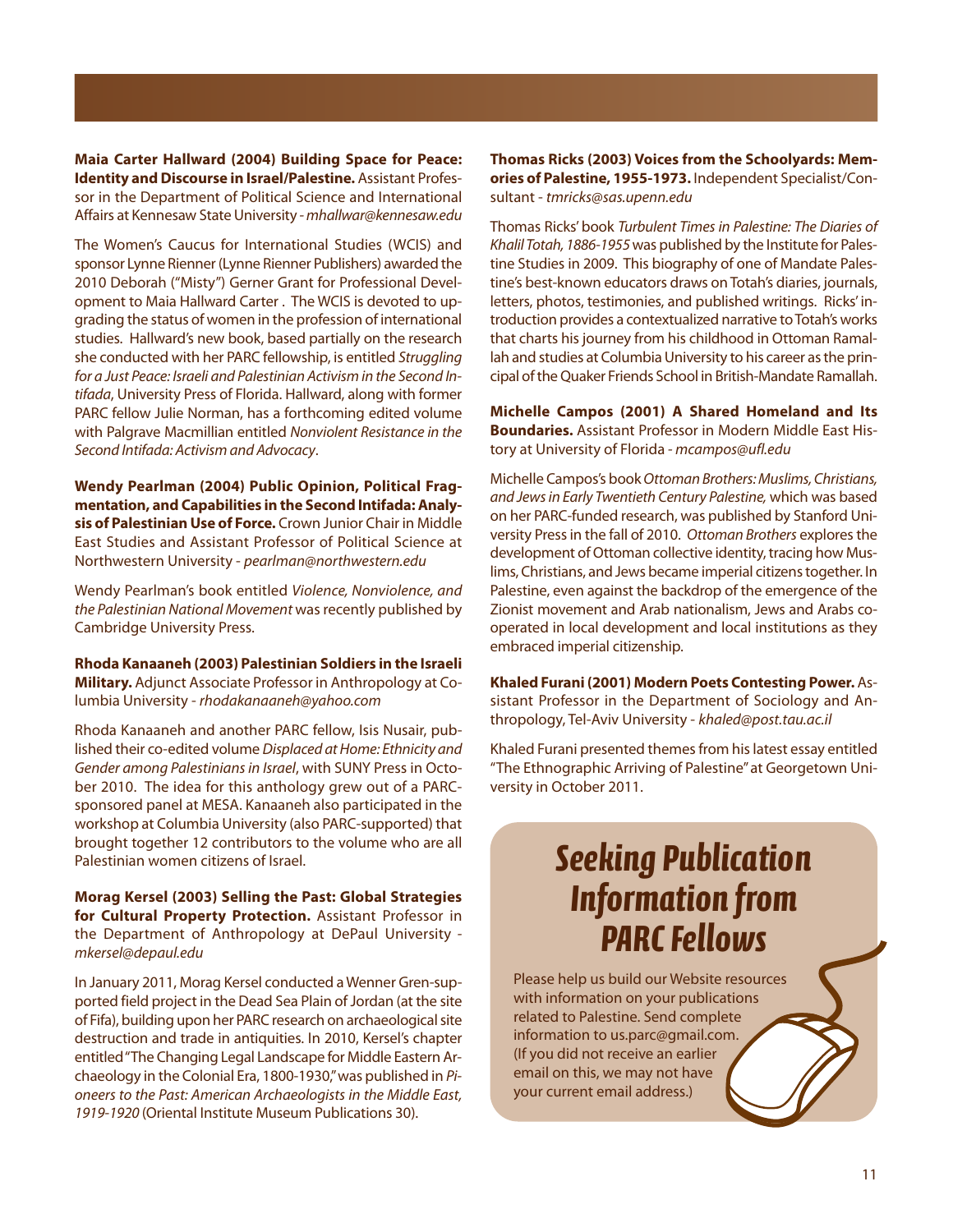**Maia carter Hallward (2004) Building Space for peace: Identity and Discourse in Israel/palestine.** Assistant Professor in the Department of Political Science and International Affairs at Kennesaw State University - mhallwar@kennesaw.edu

The Women's Caucus for International Studies (WCIS) and sponsor Lynne Rienner (Lynne Rienner Publishers) awarded the 2010 Deborah ("Misty") Gerner Grant for Professional Development to Maia Hallward Carter . The WCIS is devoted to upgrading the status of women in the profession of international studies. Hallward's new book, based partially on the research she conducted with her PARC fellowship, is entitled Struggling for a Just Peace: Israeli and Palestinian Activism in the Second Intifada, University Press of Florida. Hallward, along with former PARC fellow Julie Norman, has a forthcoming edited volume with Palgrave Macmillian entitled Nonviolent Resistance in the Second Intifada: Activism and Advocacy.

**wendy pearlman (2004) public opinion, political Frag**mentation, and Capabilities in the Second Intifada: Analy**sis of palestinian Use of Force.** Crown Junior Chair in Middle East Studies and Assistant Professor of Political Science at Northwestern University - pearlman@northwestern.edu

Wendy Pearlman's book entitled Violence, Nonviolence, and the Palestinian National Movement was recently published by Cambridge University Press.

**rhoda Kanaaneh (2003) palestinian Soldiers in the Israeli Military.** Adjunct Associate Professor in Anthropology at Columbia University - rhodakanaaneh@yahoo.com

Rhoda Kanaaneh and another PARC fellow, Isis Nusair, published their co-edited volume Displaced at Home: Ethnicity and Gender among Palestinians in Israel, with SUNY Press in October 2010. The idea for this anthology grew out of a PARCsponsored panel at MESA. Kanaaneh also participated in the workshop at Columbia University (also PARC-supported) that brought together 12 contributors to the volume who are all Palestinian women citizens of Israel.

**Morag Kersel (2003) Selling the past: global Strategies for cultural property protection.** Assistant Professor in the Department of Anthropology at DePaul University mkersel@depaul.edu

In January 2011, Morag Kersel conducted a Wenner Gren-supported field project in the Dead Sea Plain of Jordan (at the site of Fifa), building upon her PARC research on archaeological site destruction and trade in antiquities. In 2010, Kersel's chapter entitled"The Changing Legal Landscape for Middle Eastern Archaeology in the Colonial Era, 1800-1930,"was published in Pioneers to the Past: American Archaeologists in the Middle East, 1919-1920 (Oriental Institute Museum Publications 30).

**Thomas Ricks (2003) Voices from the Schoolyards: Memories of palestine, 1955-1973.** Independent Specialist/Consultant - tmricks@sas.upenn.edu

Thomas Ricks' book Turbulent Times in Palestine: The Diaries of Khalil Totah, 1886-1955 was published by the Institute for Palestine Studies in 2009. This biography of one of Mandate Palestine's best-known educators draws on Totah's diaries, journals, letters, photos, testimonies, and published writings. Ricks' introduction provides a contextualized narrative to Totah's works that charts his journey from his childhood in Ottoman Ramallah and studies at Columbia University to his career as the principal of the Quaker Friends School in British-Mandate Ramallah.

**Michelle campos (2001) a Shared Homeland and Its Boundaries.** Assistant Professor in Modern Middle East History at University of Florida - mcampos@ufl.edu

Michelle Campos's bookOttoman Brothers: Muslims, Christians, and Jews in Early Twentieth Century Palestine, which was based on her PARC-funded research, was published by Stanford University Press in the fall of 2010. Ottoman Brothers explores the development of Ottoman collective identity, tracing how Muslims, Christians, and Jews became imperial citizens together. In Palestine, even against the backdrop of the emergence of the Zionist movement and Arab nationalism, Jews and Arabs cooperated in local development and local institutions as they embraced imperial citizenship.

**Khaled Furani (2001) Modern poets contesting power.** Assistant Professor in the Department of Sociology and Anthropology, Tel-Aviv University - khaled@post.tau.ac.il

Khaled Furani presented themes from his latest essay entitled "The Ethnographic Arriving of Palestine" at Georgetown University in October 2011.

# *Seeking Publication Information from PARC Fellows*

Please help us build our Website resources with information on your publications related to Palestine. Send complete information to us.parc@gmail.com. (If you did not receive an earlier email on this, we may not have your current email address.)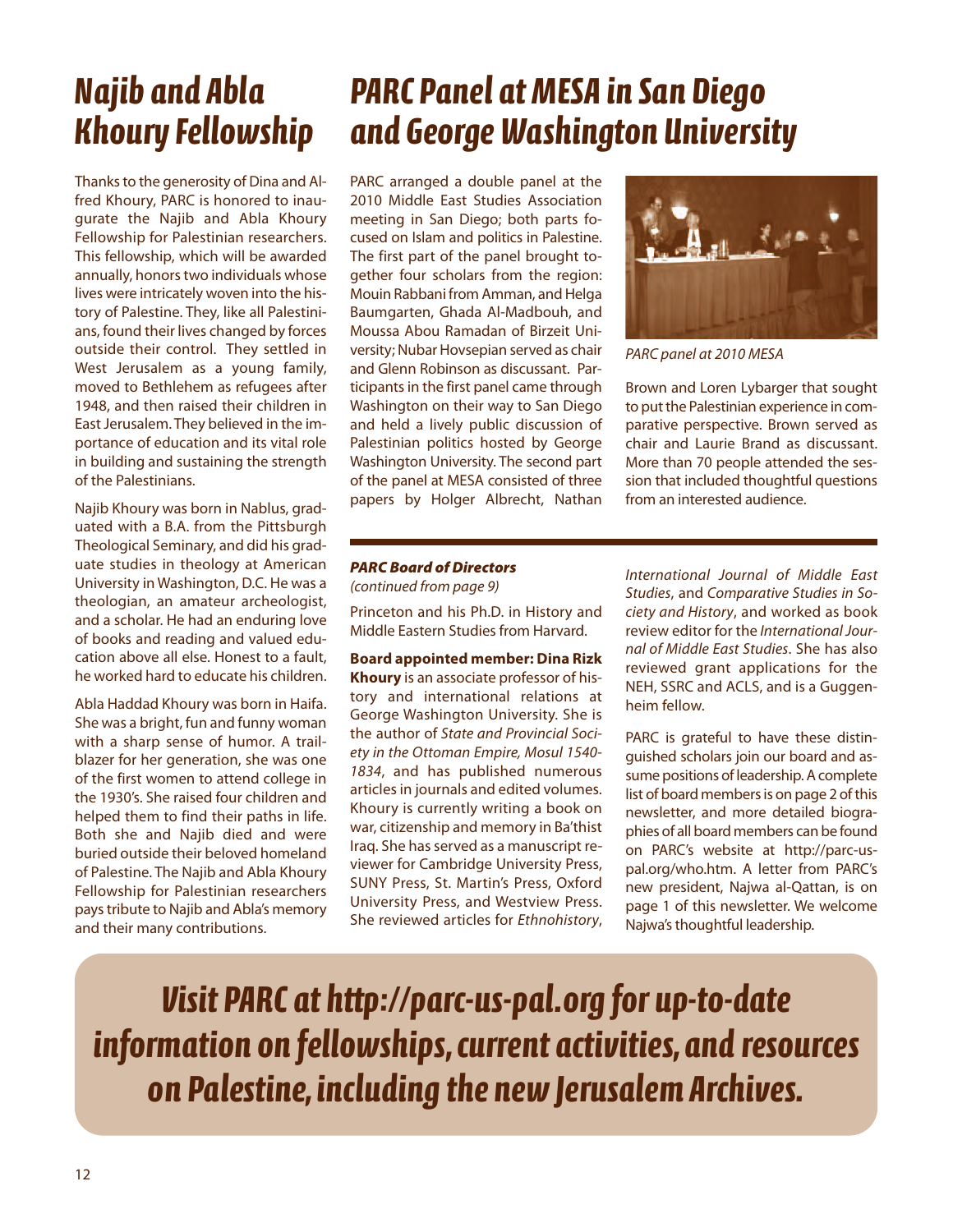# *Najib and Abla Khoury Fellowship*

Thanks to the generosity of Dina and Alfred Khoury, PARC is honored to inaugurate the Najib and Abla Khoury Fellowship for Palestinian researchers. This fellowship, which will be awarded annually, honors two individuals whose lives were intricately woven into the history of Palestine. They, like all Palestinians, found their lives changed by forces outside their control. They settled in West Jerusalem as a young family, moved to Bethlehem as refugees after 1948, and then raised their children in East Jerusalem. They believed in the importance of education and its vital role in building and sustaining the strength of the Palestinians.

Najib Khoury was born in Nablus, graduated with a B.A. from the Pittsburgh Theological Seminary, and did his graduate studies in theology at American University in Washington, D.C. He was a theologian, an amateur archeologist, and a scholar. He had an enduring love of books and reading and valued education above all else. Honest to a fault, he worked hard to educate his children.

Abla Haddad Khoury was born in Haifa. She was a bright, fun and funny woman with a sharp sense of humor. A trailblazer for her generation, she was one of the first women to attend college in the 1930's. She raised four children and helped them to find their paths in life. Both she and Najib died and were buried outside their beloved homeland of Palestine. The Najib and Abla Khoury Fellowship for Palestinian researchers pays tribute to Najib and Abla's memory and their many contributions.

# *PARC Panel at MESA in San Diego and George Washington University*

PARC arranged a double panel at the 2010 Middle East Studies Association meeting in San Diego; both parts focused on Islam and politics in Palestine. The first part of the panel brought together four scholars from the region: Mouin Rabbani from Amman, and Helga Baumgarten, Ghada Al-Madbouh, and Moussa Abou Ramadan of Birzeit University; Nubar Hovsepian served as chair and Glenn Robinson as discussant. Participants in the first panel came through Washington on their way to San Diego and held a lively public discussion of Palestinian politics hosted by George Washington University. The second part of the panel at MESA consisted of three papers by Holger Albrecht, Nathan



PARC panel at 2010 MESA

Brown and Loren Lybarger that sought to put the Palestinian experience in comparative perspective. Brown served as chair and Laurie Brand as discussant. More than 70 people attended the session that included thoughtful questions from an interested audience.

#### *PARC Board of Directors* (continued from page 9)

Princeton and his Ph.D. in History and Middle Eastern Studies from Harvard.

**Board appointed member: Dina Rizk Khoury** is an associate professor of history and international relations at George Washington University. She is the author of *State and Provincial Society in the Ottoman Empire, Mosul 1540- 1834*, and has published numerous articles in journals and edited volumes. Khoury is currently writing a book on war, citizenship and memory in Ba'thist Iraq. She has served as a manuscript reviewer for Cambridge University Press, SUNY Press, St. Martin's Press, Oxford University Press, and Westview Press. She reviewed articles for *Ethnohistory*,

*International Journal of Middle East Studies*, and *Comparative Studies in Society and History*, and worked as book review editor for the *International Journal of Middle East Studies*. She has also reviewed grant applications for the NEH, SSRC and ACLS, and is a Guggenheim fellow.

PARC is grateful to have these distinguished scholars join our board and assume positions of leadership. A complete list of board members is on page 2 of this newsletter, and more detailed biographies of all board members can be found on PARC's website at http://parc-uspal.org/who.htm. A letter from PARC's new president, Najwa al-Qattan, is on page 1 of this newsletter. We welcome Najwa's thoughtful leadership.

*Visit PARC at http://parc-us-pal.org for up-to-date information on fellowships, current activities, and resources on Palestine, including the new Jerusalem Archives.*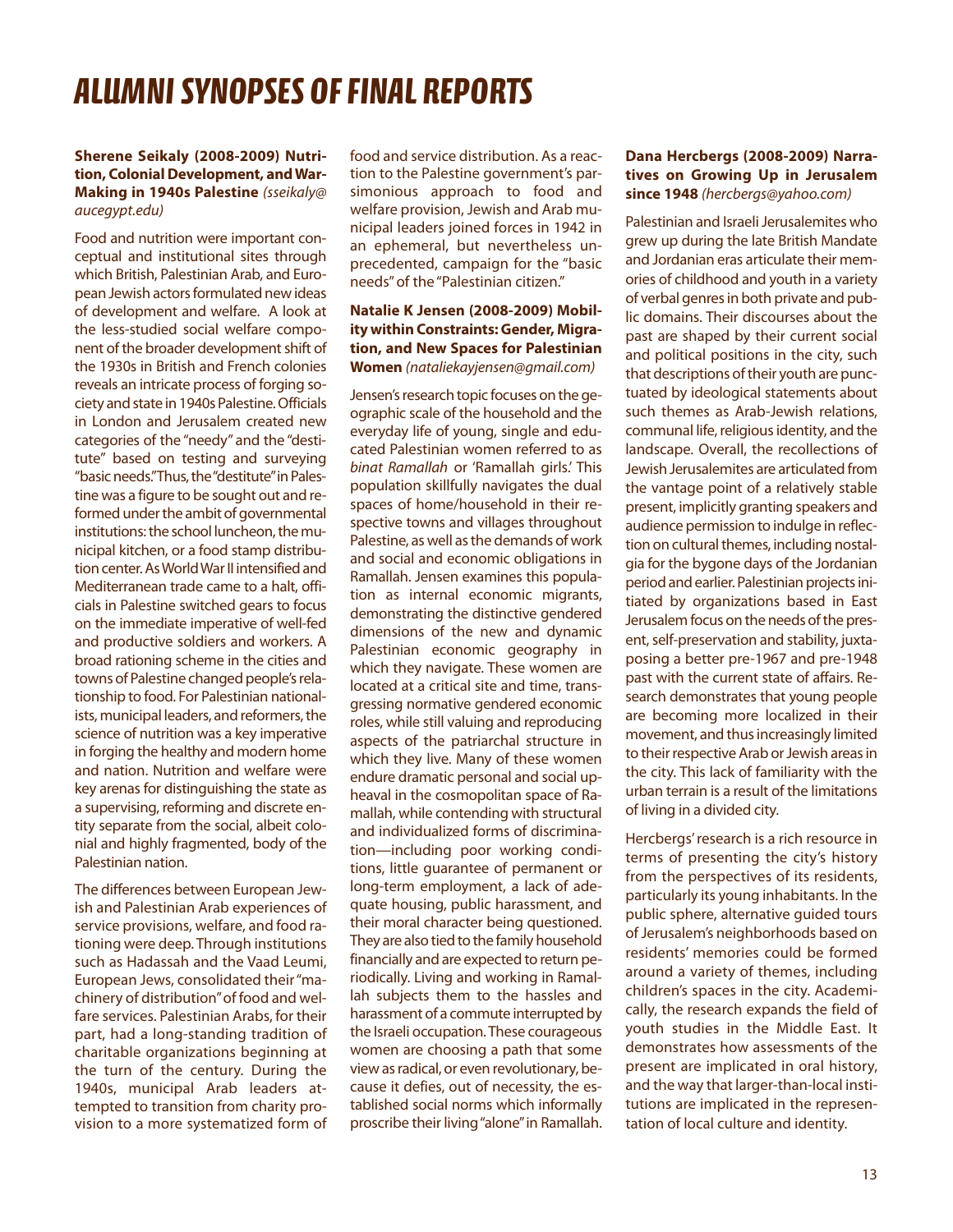## *ALUMNI SYNOPSES OF FINAL REPORTS*

#### **Sherene Seikaly (2008-2009) Nutrition, colonial Development, and war-Making in 1940s palestine** (sseikaly@ aucegypt.edu)

Food and nutrition were important conceptual and institutional sites through which British, Palestinian Arab, and European Jewish actors formulated new ideas of development and welfare. A look at the less-studied social welfare component of the broader development shift of the 1930s in British and French colonies reveals an intricate process of forging society and state in 1940s Palestine. Officials in London and Jerusalem created new categories of the "needy" and the "destitute" based on testing and surveying "basic needs."Thus, the"destitute"in Palestine was a figure to be sought out and reformed under the ambit of governmental institutions: the school luncheon, the municipal kitchen, or a food stamp distribution center. AsWorldWar II intensified and Mediterranean trade came to a halt, officials in Palestine switched gears to focus on the immediate imperative of well-fed and productive soldiers and workers. A broad rationing scheme in the cities and towns of Palestine changed people's relationship to food. For Palestinian nationalists, municipal leaders, and reformers, the science of nutrition was a key imperative in forging the healthy and modern home and nation. Nutrition and welfare were key arenas for distinguishing the state as a supervising, reforming and discrete entity separate from the social, albeit colonial and highly fragmented, body of the Palestinian nation.

The differences between European Jewish and Palestinian Arab experiences of service provisions, welfare, and food rationing were deep. Through institutions such as Hadassah and the Vaad Leumi, European Jews, consolidated their "machinery of distribution"of food and welfare services. Palestinian Arabs, for their part, had a long-standing tradition of charitable organizations beginning at the turn of the century. During the 1940s, municipal Arab leaders attempted to transition from charity provision to a more systematized form of food and service distribution. As a reaction to the Palestine government's parsimonious approach to food and welfare provision, Jewish and Arab municipal leaders joined forces in 1942 in an ephemeral, but nevertheless unprecedented, campaign for the "basic needs" of the "Palestinian citizen."

### **Natalie K Jensen (2008-2009) Mobility within constraints: gender, Migration, and New Spaces for palestinian women** (nataliekayjensen@gmail.com)

Jensen's research topic focuses on the geographic scale of the household and the everyday life of young, single and educated Palestinian women referred to as binat Ramallah or 'Ramallah girls.' This population skillfully navigates the dual spaces of home/household in their respective towns and villages throughout Palestine, as well as the demands of work and social and economic obligations in Ramallah. Jensen examines this population as internal economic migrants, demonstrating the distinctive gendered dimensions of the new and dynamic Palestinian economic geography in which they navigate. These women are located at a critical site and time, transgressing normative gendered economic roles, while still valuing and reproducing aspects of the patriarchal structure in which they live. Many of these women endure dramatic personal and social upheaval in the cosmopolitan space of Ramallah, while contending with structural and individualized forms of discrimination—including poor working conditions, little guarantee of permanent or long-term employment, a lack of adequate housing, public harassment, and their moral character being questioned. They are also tied to the family household financially and are expected to return periodically. Living and working in Ramallah subjects them to the hassles and harassment of a commute interrupted by the Israeli occupation. These courageous women are choosing a path that some view as radical, or even revolutionary, because it defies, out of necessity, the established social norms which informally proscribe their living"alone"in Ramallah.

### **Dana Hercbergs (2008-2009) Narratives on growing Up in Jerusalem since 1948** (hercbergs@yahoo.com)

Palestinian and Israeli Jerusalemites who grew up during the late British Mandate and Jordanian eras articulate their memories of childhood and youth in a variety of verbal genres in both private and public domains. Their discourses about the past are shaped by their current social and political positions in the city, such that descriptions of their youth are punctuated by ideological statements about such themes as Arab-Jewish relations, communal life, religious identity, and the landscape. Overall, the recollections of Jewish Jerusalemites are articulated from the vantage point of a relatively stable present, implicitly granting speakers and audience permission to indulge in reflection on cultural themes, including nostalgia for the bygone days of the Jordanian period and earlier. Palestinian projects initiated by organizations based in East Jerusalem focus on the needs of the present, self-preservation and stability, juxtaposing a better pre-1967 and pre-1948 past with the current state of affairs. Research demonstrates that young people are becoming more localized in their movement, and thus increasingly limited to their respective Arab or Jewish areas in the city. This lack of familiarity with the urban terrain is a result of the limitations of living in a divided city.

Hercbergs' research is a rich resource in terms of presenting the city's history from the perspectives of its residents, particularly its young inhabitants. In the public sphere, alternative guided tours of Jerusalem's neighborhoods based on residents' memories could be formed around a variety of themes, including children's spaces in the city. Academically, the research expands the field of youth studies in the Middle East. It demonstrates how assessments of the present are implicated in oral history, and the way that larger-than-local institutions are implicated in the representation of local culture and identity.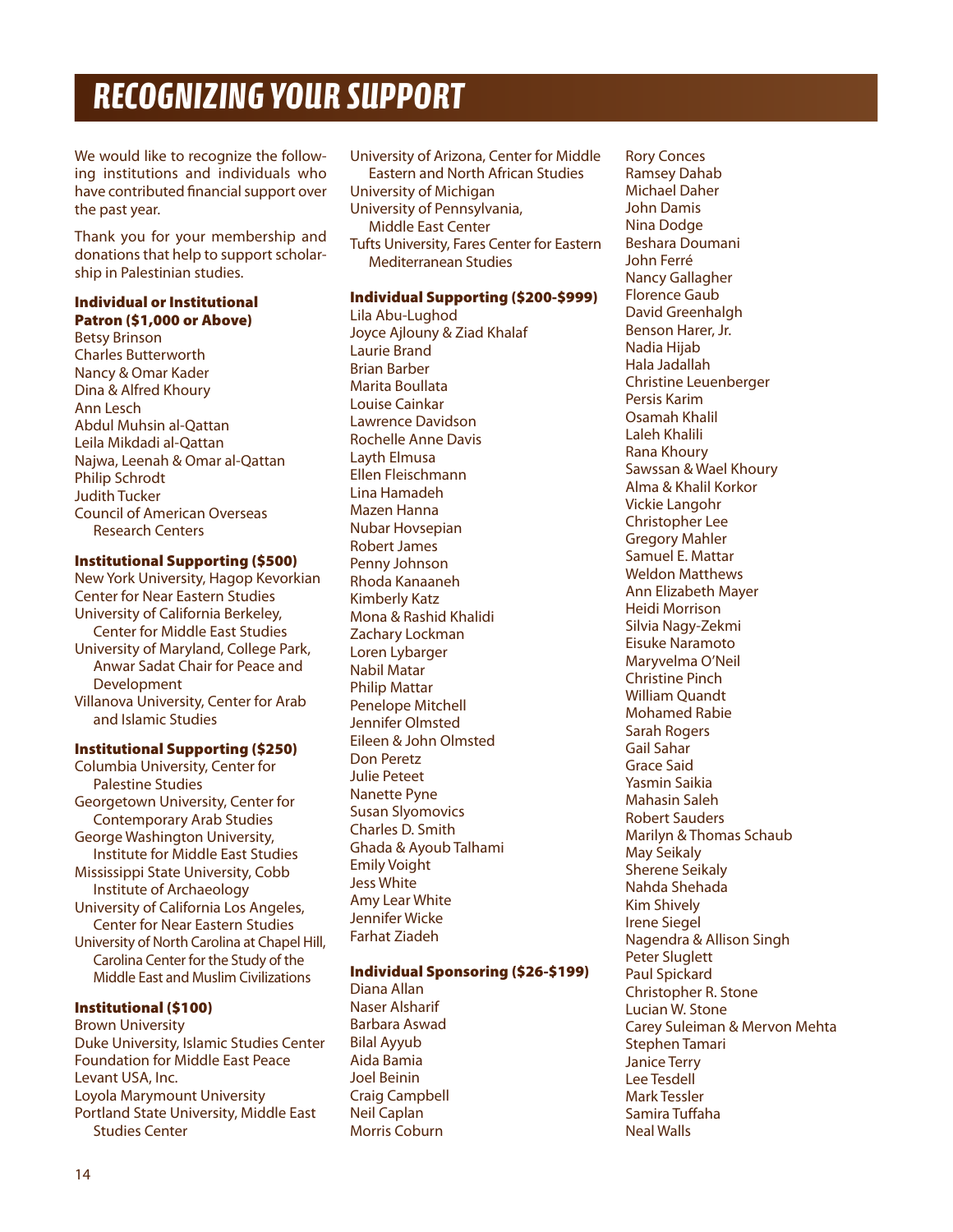# *RECOGNIZING YOUR SUPPORT*

We would like to recognize the following institutions and individuals who have contributed financial support over the past year.

Thank you for your membership and donations that help to support scholarship in Palestinian studies.

#### **Individual or Institutional Patron (\$1,000 or Above)**

Betsy Brinson Charles Butterworth Nancy & Omar Kader Dina & Alfred Khoury Ann Lesch Abdul Muhsin al-Qattan Leila Mikdadi al-Qattan Najwa, Leenah & Omar al-Qattan Philip Schrodt Judith Tucker Council of American Overseas Research Centers

#### **Institutional Supporting (\$500)**

New York University, Hagop Kevorkian Center for Near Eastern Studies University of California Berkeley, Center for Middle East Studies University of Maryland, College Park, Anwar Sadat Chair for Peace and Development Villanova University, Center for Arab and Islamic Studies

### **Institutional Supporting (\$250)**

Columbia University, Center for Palestine Studies Georgetown University, Center for Contemporary Arab Studies George Washington University, Institute for Middle East Studies Mississippi State University, Cobb Institute of Archaeology University of California Los Angeles, Center for Near Eastern Studies University of North Carolina at Chapel Hill, Carolina Center for the Study of the Middle East and Muslim Civilizations

### **Institutional (\$100)**

Brown University Duke University, Islamic Studies Center Foundation for Middle East Peace Levant USA, Inc. Loyola Marymount University Portland State University, Middle East Studies Center

University of Arizona, Center for Middle Eastern and North African Studies University of Michigan University of Pennsylvania, Middle East Center Tufts University, Fares Center for Eastern Mediterranean Studies

### **Individual Supporting (\$200-\$999)**

Lila Abu-Lughod Joyce Ajlouny & Ziad Khalaf Laurie Brand Brian Barber Marita Boullata Louise Cainkar Lawrence Davidson Rochelle Anne Davis Layth Elmusa Ellen Fleischmann Lina Hamadeh Mazen Hanna Nubar Hovsepian Robert James Penny Johnson Rhoda Kanaaneh Kimberly Katz Mona & Rashid Khalidi Zachary Lockman Loren Lybarger Nabil Matar Philip Mattar Penelope Mitchell Jennifer Olmsted Eileen & John Olmsted Don Peretz Julie Peteet Nanette Pyne Susan Slyomovics Charles D. Smith Ghada & Ayoub Talhami Emily Voight Jess White Amy Lear White Jennifer Wicke Farhat Ziadeh

### **Individual Sponsoring (\$26-\$199)**

Diana Allan Naser Alsharif Barbara Aswad Bilal Ayyub Aida Bamia Joel Beinin Craig Campbell Neil Caplan Morris Coburn

Rory Conces Ramsey Dahab Michael Daher John Damis Nina Dodge Beshara Doumani John Ferré Nancy Gallagher Florence Gaub David Greenhalgh Benson Harer, Jr. Nadia Hijab Hala Jadallah Christine Leuenberger Persis Karim Osamah Khalil Laleh Khalili Rana Khoury Sawssan & Wael Khoury Alma & Khalil Korkor Vickie Langohr Christopher Lee Gregory Mahler Samuel E. Mattar Weldon Matthews Ann Elizabeth Mayer Heidi Morrison Silvia Nagy-Zekmi Eisuke Naramoto Maryvelma O'Neil Christine Pinch William Quandt Mohamed Rabie Sarah Rogers Gail Sahar Grace Said Yasmin Saikia Mahasin Saleh Robert Sauders Marilyn & Thomas Schaub May Seikaly Sherene Seikaly Nahda Shehada Kim Shively Irene Siegel Nagendra & Allison Singh Peter Sluglett Paul Spickard Christopher R. Stone Lucian W. Stone Carey Suleiman & Mervon Mehta Stephen Tamari Janice Terry Lee Tesdell Mark Tessler Samira Tuffaha Neal Walls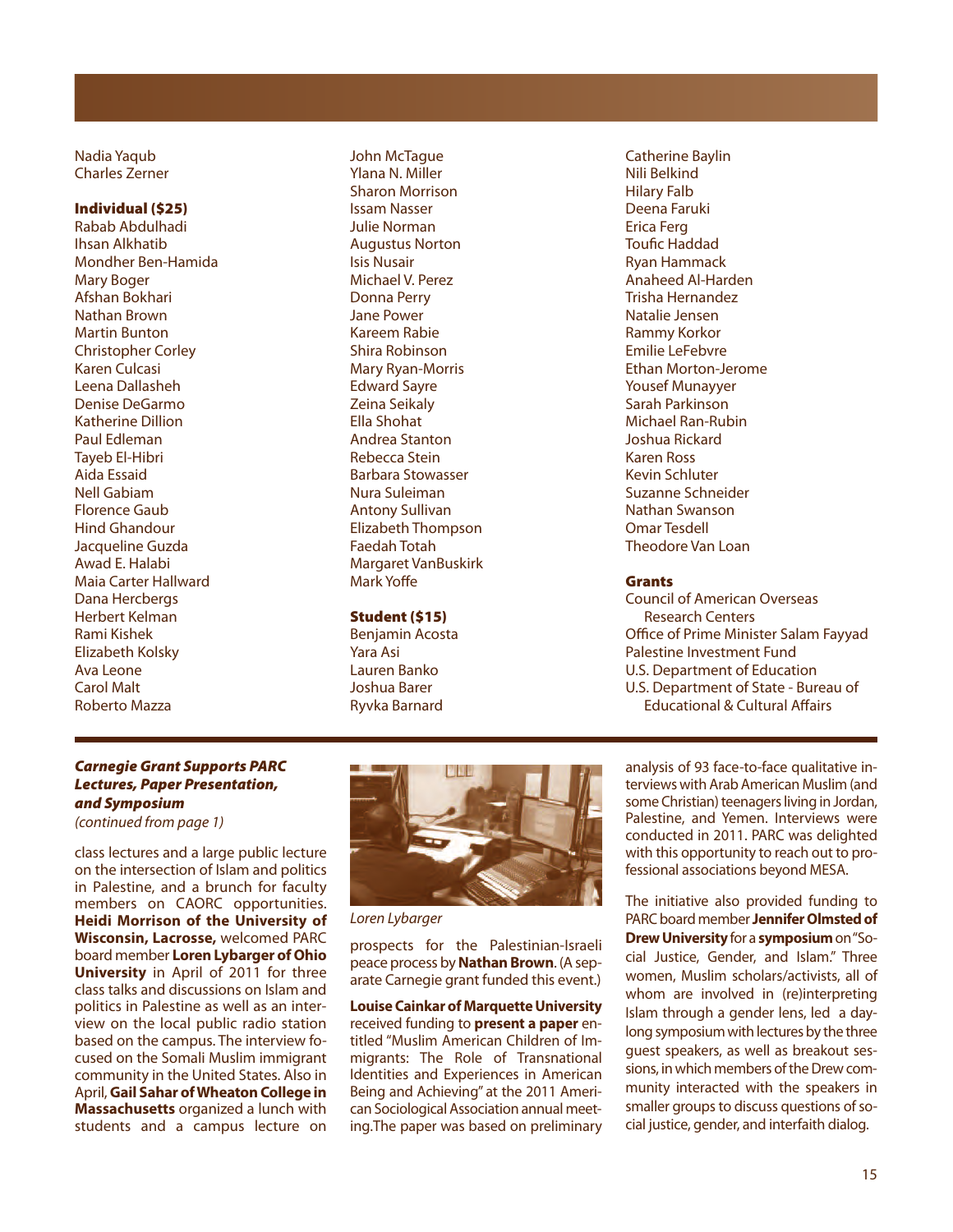Nadia Yaqub Charles Zerner

#### **Individual (\$25)**

Rabab Abdulhadi Ihsan Alkhatib Mondher Ben-Hamida Mary Boger Afshan Bokhari Nathan Brown Martin Bunton Christopher Corley Karen Culcasi Leena Dallasheh Denise DeGarmo Katherine Dillion Paul Edleman Tayeb El-Hibri Aida Essaid Nell Gabiam Florence Gaub Hind Ghandour Jacqueline Guzda Awad E. Halabi Maia Carter Hallward Dana Hercbergs Herbert Kelman Rami Kishek Elizabeth Kolsky Ava Leone Carol Malt Roberto Mazza

John McTague Ylana N. Miller Sharon Morrison Issam Nasser Julie Norman Augustus Norton Isis Nusair Michael V. Perez Donna Perry Jane Power Kareem Rabie Shira Robinson Mary Ryan-Morris Edward Sayre Zeina Seikaly Ella Shohat Andrea Stanton Rebecca Stein Barbara Stowasser Nura Suleiman Antony Sullivan Elizabeth Thompson Faedah Totah Margaret VanBuskirk Mark Yoffe

### **Student (\$15)**

Benjamin Acosta Yara Asi Lauren Banko Joshua Barer Ryvka Barnard

Catherine Baylin Nili Belkind Hilary Falb Deena Faruki Erica Ferg Toufic Haddad Ryan Hammack Anaheed Al-Harden Trisha Hernandez Natalie Jensen Rammy Korkor Emilie LeFebvre Ethan Morton-Jerome Yousef Munayyer Sarah Parkinson Michael Ran-Rubin Joshua Rickard Karen Ross Kevin Schluter Suzanne Schneider Nathan Swanson Omar Tesdell Theodore Van Loan

#### **Grants**

Council of American Overseas Research Centers Office of Prime Minister Salam Fayyad Palestine Investment Fund U.S. Department of Education U.S. Department of State - Bureau of Educational & Cultural Affairs

### *Carnegie Grant Supports PARC Lectures, Paper Presentation, and Symposium*

(continued from page 1)

class lectures and a large public lecture on the intersection of Islam and politics in Palestine, and a brunch for faculty members on CAORC opportunities. **Heidi Morrison of the University of Wisconsin, Lacrosse,** welcomed PARC board member **Loren Lybarger of Ohio University** in April of 2011 for three class talks and discussions on Islam and politics in Palestine as well as an interview on the local public radio station based on the campus. The interview focused on the Somali Muslim immigrant community in the United States. Also in April,**Gail Sahar of Wheaton College in Massachusetts** organized a lunch with students and a campus lecture on



Loren Lybarger

prospects for the Palestinian-Israeli peace process by**Nathan Brown**. (A separate Carnegie grant funded this event.)

**Louise Cainkar of Marquette University** received funding to **present a paper** entitled "Muslim American Children of Immigrants: The Role of Transnational Identities and Experiences in American Being and Achieving" at the 2011 American Sociological Association annual meeting.The paper was based on preliminary analysis of 93 face-to-face qualitative interviews with Arab American Muslim (and some Christian) teenagers living in Jordan, Palestine, and Yemen. Interviews were conducted in 2011. PARC was delighted with this opportunity to reach out to professional associations beyond MESA.

The initiative also provided funding to PARC board member **Jennifer Olmsted of Drew University** for a **symposium**on"Social Justice, Gender, and Islam." Three women, Muslim scholars/activists, all of whom are involved in (re)interpreting Islam through a gender lens, led a daylong symposium with lectures by the three guest speakers, as well as breakout sessions, in which members of the Drew community interacted with the speakers in smaller groups to discuss questions of social justice, gender, and interfaith dialog.